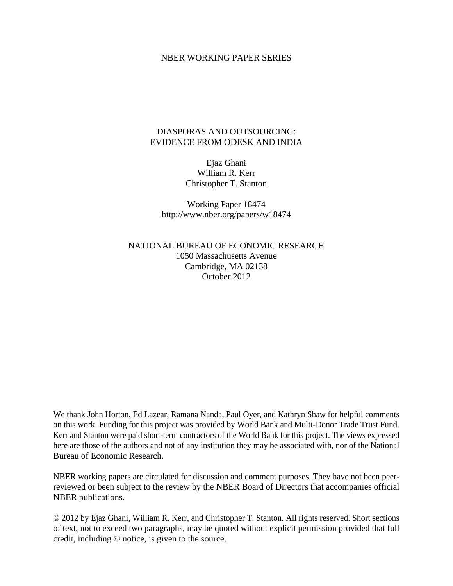### NBER WORKING PAPER SERIES

## DIASPORAS AND OUTSOURCING: EVIDENCE FROM ODESK AND INDIA

Ejaz Ghani William R. Kerr Christopher T. Stanton

Working Paper 18474 http://www.nber.org/papers/w18474

NATIONAL BUREAU OF ECONOMIC RESEARCH 1050 Massachusetts Avenue Cambridge, MA 02138 October 2012

We thank John Horton, Ed Lazear, Ramana Nanda, Paul Oyer, and Kathryn Shaw for helpful comments on this work. Funding for this project was provided by World Bank and Multi-Donor Trade Trust Fund. Kerr and Stanton were paid short-term contractors of the World Bank for this project. The views expressed here are those of the authors and not of any institution they may be associated with, nor of the National Bureau of Economic Research.

NBER working papers are circulated for discussion and comment purposes. They have not been peerreviewed or been subject to the review by the NBER Board of Directors that accompanies official NBER publications.

© 2012 by Ejaz Ghani, William R. Kerr, and Christopher T. Stanton. All rights reserved. Short sections of text, not to exceed two paragraphs, may be quoted without explicit permission provided that full credit, including © notice, is given to the source.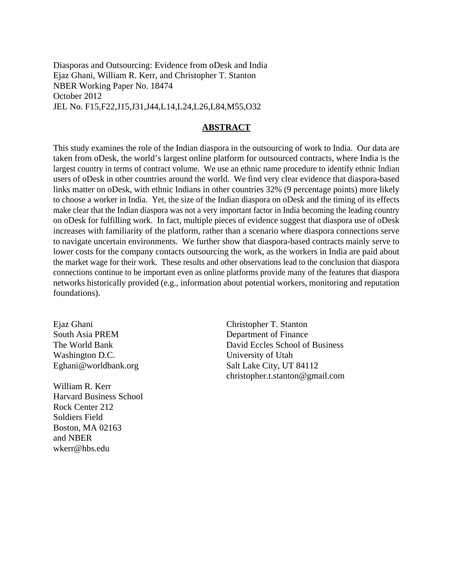Diasporas and Outsourcing: Evidence from oDesk and India Ejaz Ghani, William R. Kerr, and Christopher T. Stanton NBER Working Paper No. 18474 October 2012 JEL No. F15,F22,J15,J31,J44,L14,L24,L26,L84,M55,O32

### **ABSTRACT**

This study examines the role of the Indian diaspora in the outsourcing of work to India. Our data are taken from oDesk, the world's largest online platform for outsourced contracts, where India is the largest country in terms of contract volume. We use an ethnic name procedure to identify ethnic Indian users of oDesk in other countries around the world. We find very clear evidence that diaspora-based links matter on oDesk, with ethnic Indians in other countries 32% (9 percentage points) more likely to choose a worker in India. Yet, the size of the Indian diaspora on oDesk and the timing of its effects make clear that the Indian diaspora was not a very important factor in India becoming the leading country on oDesk for fulfilling work. In fact, multiple pieces of evidence suggest that diaspora use of oDesk increases with familiarity of the platform, rather than a scenario where diaspora connections serve to navigate uncertain environments. We further show that diaspora-based contracts mainly serve to lower costs for the company contacts outsourcing the work, as the workers in India are paid about the market wage for their work. These results and other observations lead to the conclusion that diaspora connections continue to be important even as online platforms provide many of the features that diaspora networks historically provided (e.g., information about potential workers, monitoring and reputation foundations).

Ejaz Ghani South Asia PREM The World Bank Washington D.C. Eghani@worldbank.org

William R. Kerr Harvard Business School Rock Center 212 Soldiers Field Boston, MA 02163 and NBER wkerr@hbs.edu

Christopher T. Stanton Department of Finance David Eccles School of Business University of Utah Salt Lake City, UT 84112 christopher.t.stanton@gmail.com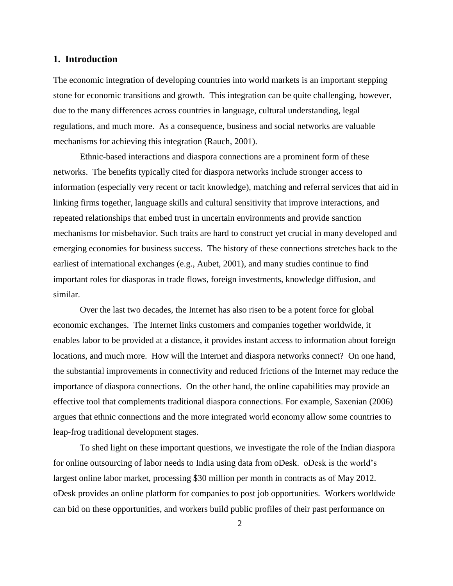## **1. Introduction**

The economic integration of developing countries into world markets is an important stepping stone for economic transitions and growth. This integration can be quite challenging, however, due to the many differences across countries in language, cultural understanding, legal regulations, and much more. As a consequence, business and social networks are valuable mechanisms for achieving this integration (Rauch, 2001).

Ethnic-based interactions and diaspora connections are a prominent form of these networks. The benefits typically cited for diaspora networks include stronger access to information (especially very recent or tacit knowledge), matching and referral services that aid in linking firms together, language skills and cultural sensitivity that improve interactions, and repeated relationships that embed trust in uncertain environments and provide sanction mechanisms for misbehavior. Such traits are hard to construct yet crucial in many developed and emerging economies for business success. The history of these connections stretches back to the earliest of international exchanges (e.g., Aubet, 2001), and many studies continue to find important roles for diasporas in trade flows, foreign investments, knowledge diffusion, and similar.

Over the last two decades, the Internet has also risen to be a potent force for global economic exchanges. The Internet links customers and companies together worldwide, it enables labor to be provided at a distance, it provides instant access to information about foreign locations, and much more. How will the Internet and diaspora networks connect? On one hand, the substantial improvements in connectivity and reduced frictions of the Internet may reduce the importance of diaspora connections. On the other hand, the online capabilities may provide an effective tool that complements traditional diaspora connections. For example, Saxenian (2006) argues that ethnic connections and the more integrated world economy allow some countries to leap-frog traditional development stages.

To shed light on these important questions, we investigate the role of the Indian diaspora for online outsourcing of labor needs to India using data from oDesk. oDesk is the world's largest online labor market, processing \$30 million per month in contracts as of May 2012. oDesk provides an online platform for companies to post job opportunities. Workers worldwide can bid on these opportunities, and workers build public profiles of their past performance on

 $\mathcal{D}_{\mathcal{L}}$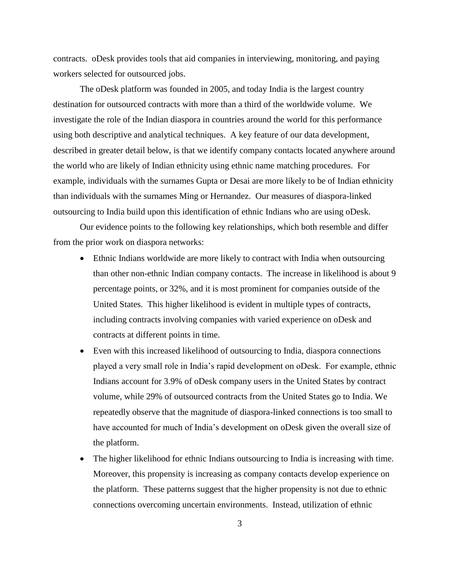contracts. oDesk provides tools that aid companies in interviewing, monitoring, and paying workers selected for outsourced jobs.

The oDesk platform was founded in 2005, and today India is the largest country destination for outsourced contracts with more than a third of the worldwide volume. We investigate the role of the Indian diaspora in countries around the world for this performance using both descriptive and analytical techniques. A key feature of our data development, described in greater detail below, is that we identify company contacts located anywhere around the world who are likely of Indian ethnicity using ethnic name matching procedures. For example, individuals with the surnames Gupta or Desai are more likely to be of Indian ethnicity than individuals with the surnames Ming or Hernandez. Our measures of diaspora-linked outsourcing to India build upon this identification of ethnic Indians who are using oDesk.

Our evidence points to the following key relationships, which both resemble and differ from the prior work on diaspora networks:

- Ethnic Indians worldwide are more likely to contract with India when outsourcing than other non-ethnic Indian company contacts. The increase in likelihood is about 9 percentage points, or 32%, and it is most prominent for companies outside of the United States. This higher likelihood is evident in multiple types of contracts, including contracts involving companies with varied experience on oDesk and contracts at different points in time.
- Even with this increased likelihood of outsourcing to India, diaspora connections played a very small role in India's rapid development on oDesk. For example, ethnic Indians account for 3.9% of oDesk company users in the United States by contract volume, while 29% of outsourced contracts from the United States go to India. We repeatedly observe that the magnitude of diaspora-linked connections is too small to have accounted for much of India's development on oDesk given the overall size of the platform.
- The higher likelihood for ethnic Indians outsourcing to India is increasing with time. Moreover, this propensity is increasing as company contacts develop experience on the platform. These patterns suggest that the higher propensity is not due to ethnic connections overcoming uncertain environments. Instead, utilization of ethnic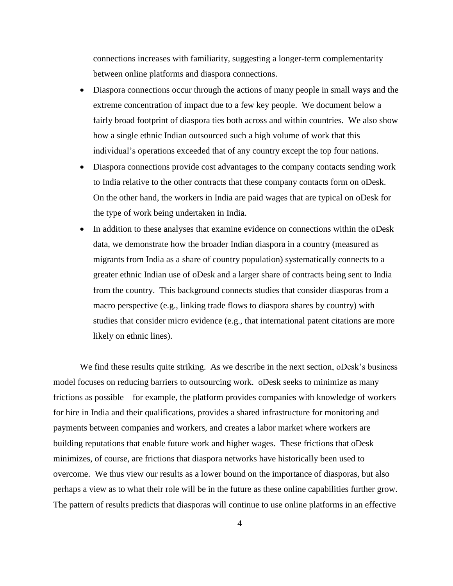connections increases with familiarity, suggesting a longer-term complementarity between online platforms and diaspora connections.

- Diaspora connections occur through the actions of many people in small ways and the extreme concentration of impact due to a few key people. We document below a fairly broad footprint of diaspora ties both across and within countries. We also show how a single ethnic Indian outsourced such a high volume of work that this individual's operations exceeded that of any country except the top four nations.
- Diaspora connections provide cost advantages to the company contacts sending work to India relative to the other contracts that these company contacts form on oDesk. On the other hand, the workers in India are paid wages that are typical on oDesk for the type of work being undertaken in India.
- In addition to these analyses that examine evidence on connections within the oDesk data, we demonstrate how the broader Indian diaspora in a country (measured as migrants from India as a share of country population) systematically connects to a greater ethnic Indian use of oDesk and a larger share of contracts being sent to India from the country. This background connects studies that consider diasporas from a macro perspective (e.g., linking trade flows to diaspora shares by country) with studies that consider micro evidence (e.g., that international patent citations are more likely on ethnic lines).

We find these results quite striking. As we describe in the next section, oDesk's business model focuses on reducing barriers to outsourcing work. oDesk seeks to minimize as many frictions as possible—for example, the platform provides companies with knowledge of workers for hire in India and their qualifications, provides a shared infrastructure for monitoring and payments between companies and workers, and creates a labor market where workers are building reputations that enable future work and higher wages. These frictions that oDesk minimizes, of course, are frictions that diaspora networks have historically been used to overcome. We thus view our results as a lower bound on the importance of diasporas, but also perhaps a view as to what their role will be in the future as these online capabilities further grow. The pattern of results predicts that diasporas will continue to use online platforms in an effective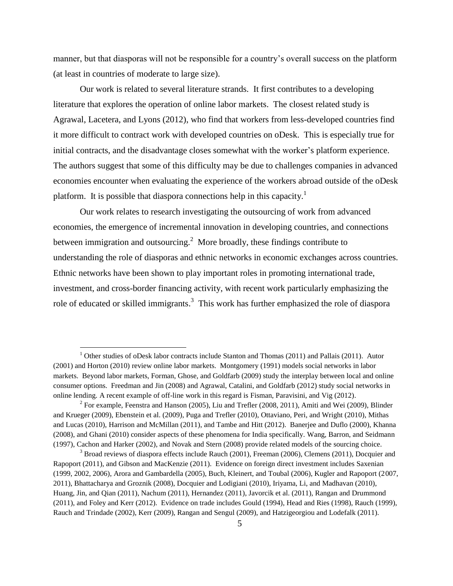manner, but that diasporas will not be responsible for a country's overall success on the platform (at least in countries of moderate to large size).

Our work is related to several literature strands. It first contributes to a developing literature that explores the operation of online labor markets. The closest related study is Agrawal, Lacetera, and Lyons (2012), who find that workers from less-developed countries find it more difficult to contract work with developed countries on oDesk. This is especially true for initial contracts, and the disadvantage closes somewhat with the worker's platform experience. The authors suggest that some of this difficulty may be due to challenges companies in advanced economies encounter when evaluating the experience of the workers abroad outside of the oDesk platform. It is possible that diaspora connections help in this capacity.<sup>1</sup>

Our work relates to research investigating the outsourcing of work from advanced economies, the emergence of incremental innovation in developing countries, and connections between immigration and outsourcing.<sup>2</sup> More broadly, these findings contribute to understanding the role of diasporas and ethnic networks in economic exchanges across countries. Ethnic networks have been shown to play important roles in promoting international trade, investment, and cross-border financing activity, with recent work particularly emphasizing the role of educated or skilled immigrants.<sup>3</sup> This work has further emphasized the role of diaspora

<sup>&</sup>lt;sup>1</sup> Other studies of oDesk labor contracts include Stanton and Thomas (2011) and Pallais (2011). Autor (2001) and Horton (2010) review online labor markets. Montgomery (1991) models social networks in labor markets. Beyond labor markets, Forman, Ghose, and Goldfarb (2009) study the interplay between local and online consumer options. Freedman and Jin (2008) and Agrawal, Catalini, and Goldfarb (2012) study social networks in online lending. A recent example of off-line work in this regard is Fisman, Paravisini, and Vig (2012).

<sup>&</sup>lt;sup>2</sup> For example, Feenstra and Hanson (2005), Liu and Trefler (2008, 2011), Amiti and Wei (2009), Blinder and Krueger (2009), Ebenstein et al. (2009), Puga and Trefler (2010), Ottaviano, Peri, and Wright (2010), Mithas and Lucas (2010), Harrison and McMillan (2011), and Tambe and Hitt (2012). Banerjee and Duflo (2000), Khanna (2008), and Ghani (2010) consider aspects of these phenomena for India specifically. Wang, Barron, and Seidmann (1997), Cachon and Harker (2002), and Novak and Stern (2008) provide related models of the sourcing choice.

 $3$  Broad reviews of diaspora effects include Rauch (2001), Freeman (2006), Clemens (2011), Docquier and Rapoport (2011), and Gibson and MacKenzie (2011). Evidence on foreign direct investment includes Saxenian (1999, 2002, 2006), Arora and Gambardella (2005), Buch, Kleinert, and Toubal (2006), Kugler and Rapoport (2007, 2011), Bhattacharya and Groznik (2008), Docquier and Lodigiani (2010), Iriyama, Li, and Madhavan (2010), Huang, Jin, and Qian (2011), Nachum (2011), Hernandez (2011), Javorcik et al. (2011), Rangan and Drummond (2011), and Foley and Kerr (2012). Evidence on trade includes Gould (1994), Head and Ries (1998), Rauch (1999), Rauch and Trindade (2002), Kerr (2009), Rangan and Sengul (2009), and Hatzigeorgiou and Lodefalk (2011).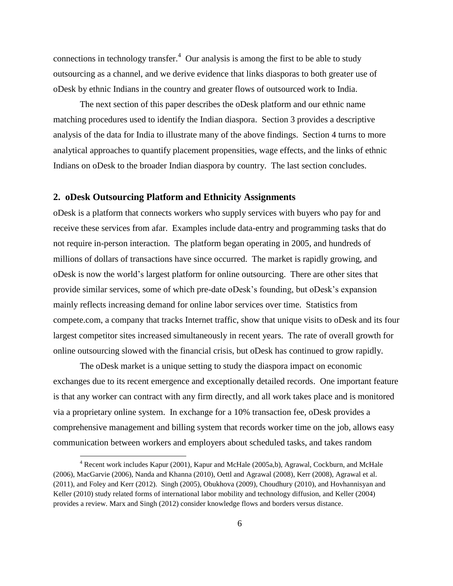connections in technology transfer.<sup>4</sup> Our analysis is among the first to be able to study outsourcing as a channel, and we derive evidence that links diasporas to both greater use of oDesk by ethnic Indians in the country and greater flows of outsourced work to India.

The next section of this paper describes the oDesk platform and our ethnic name matching procedures used to identify the Indian diaspora. Section 3 provides a descriptive analysis of the data for India to illustrate many of the above findings. Section 4 turns to more analytical approaches to quantify placement propensities, wage effects, and the links of ethnic Indians on oDesk to the broader Indian diaspora by country. The last section concludes.

## **2. oDesk Outsourcing Platform and Ethnicity Assignments**

oDesk is a platform that connects workers who supply services with buyers who pay for and receive these services from afar. Examples include data-entry and programming tasks that do not require in-person interaction. The platform began operating in 2005, and hundreds of millions of dollars of transactions have since occurred. The market is rapidly growing, and oDesk is now the world's largest platform for online outsourcing. There are other sites that provide similar services, some of which pre-date oDesk's founding, but oDesk's expansion mainly reflects increasing demand for online labor services over time. Statistics from compete.com, a company that tracks Internet traffic, show that unique visits to oDesk and its four largest competitor sites increased simultaneously in recent years. The rate of overall growth for online outsourcing slowed with the financial crisis, but oDesk has continued to grow rapidly.

The oDesk market is a unique setting to study the diaspora impact on economic exchanges due to its recent emergence and exceptionally detailed records. One important feature is that any worker can contract with any firm directly, and all work takes place and is monitored via a proprietary online system. In exchange for a 10% transaction fee, oDesk provides a comprehensive management and billing system that records worker time on the job, allows easy communication between workers and employers about scheduled tasks, and takes random

<sup>4</sup> Recent work includes Kapur (2001), Kapur and McHale (2005a,b), Agrawal, Cockburn, and McHale (2006), MacGarvie (2006), Nanda and Khanna (2010), Oettl and Agrawal (2008), Kerr (2008), Agrawal et al. (2011), and Foley and Kerr (2012). Singh (2005), Obukhova (2009), Choudhury (2010), and Hovhannisyan and Keller (2010) study related forms of international labor mobility and technology diffusion, and Keller (2004) provides a review. Marx and Singh (2012) consider knowledge flows and borders versus distance.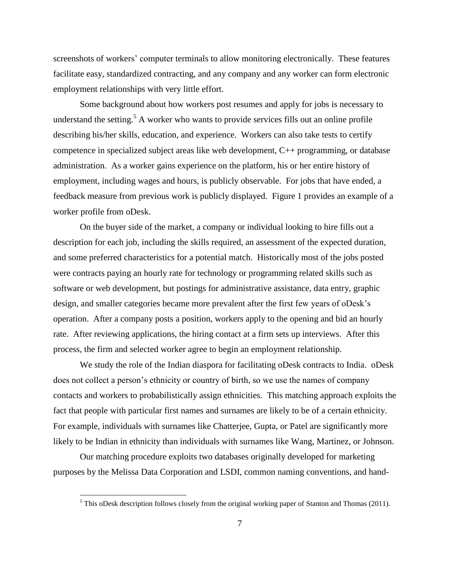screenshots of workers' computer terminals to allow monitoring electronically. These features facilitate easy, standardized contracting, and any company and any worker can form electronic employment relationships with very little effort.

Some background about how workers post resumes and apply for jobs is necessary to understand the setting.<sup>5</sup> A worker who wants to provide services fills out an online profile describing his/her skills, education, and experience. Workers can also take tests to certify competence in specialized subject areas like web development, C++ programming, or database administration. As a worker gains experience on the platform, his or her entire history of employment, including wages and hours, is publicly observable. For jobs that have ended, a feedback measure from previous work is publicly displayed. Figure 1 provides an example of a worker profile from oDesk.

On the buyer side of the market, a company or individual looking to hire fills out a description for each job, including the skills required, an assessment of the expected duration, and some preferred characteristics for a potential match. Historically most of the jobs posted were contracts paying an hourly rate for technology or programming related skills such as software or web development, but postings for administrative assistance, data entry, graphic design, and smaller categories became more prevalent after the first few years of oDesk's operation. After a company posts a position, workers apply to the opening and bid an hourly rate. After reviewing applications, the hiring contact at a firm sets up interviews. After this process, the firm and selected worker agree to begin an employment relationship.

We study the role of the Indian diaspora for facilitating oDesk contracts to India. oDesk does not collect a person's ethnicity or country of birth, so we use the names of company contacts and workers to probabilistically assign ethnicities. This matching approach exploits the fact that people with particular first names and surnames are likely to be of a certain ethnicity. For example, individuals with surnames like Chatterjee, Gupta, or Patel are significantly more likely to be Indian in ethnicity than individuals with surnames like Wang, Martinez, or Johnson.

Our matching procedure exploits two databases originally developed for marketing purposes by the Melissa Data Corporation and LSDI, common naming conventions, and hand-

 $<sup>5</sup>$  This oDesk description follows closely from the original working paper of Stanton and Thomas (2011).</sup>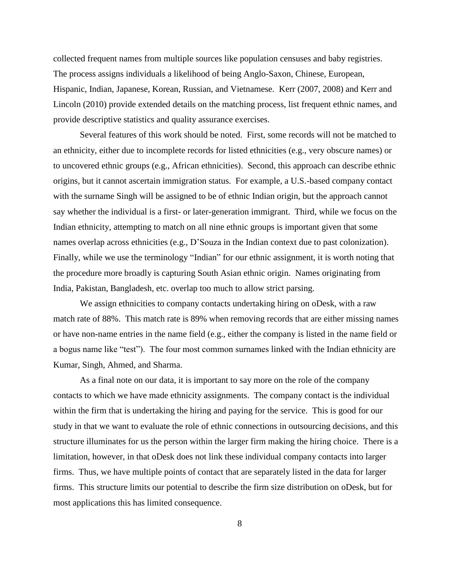collected frequent names from multiple sources like population censuses and baby registries. The process assigns individuals a likelihood of being Anglo-Saxon, Chinese, European, Hispanic, Indian, Japanese, Korean, Russian, and Vietnamese. Kerr (2007, 2008) and Kerr and Lincoln (2010) provide extended details on the matching process, list frequent ethnic names, and provide descriptive statistics and quality assurance exercises.

Several features of this work should be noted. First, some records will not be matched to an ethnicity, either due to incomplete records for listed ethnicities (e.g., very obscure names) or to uncovered ethnic groups (e.g., African ethnicities). Second, this approach can describe ethnic origins, but it cannot ascertain immigration status. For example, a U.S.-based company contact with the surname Singh will be assigned to be of ethnic Indian origin, but the approach cannot say whether the individual is a first- or later-generation immigrant. Third, while we focus on the Indian ethnicity, attempting to match on all nine ethnic groups is important given that some names overlap across ethnicities (e.g., D'Souza in the Indian context due to past colonization). Finally, while we use the terminology "Indian" for our ethnic assignment, it is worth noting that the procedure more broadly is capturing South Asian ethnic origin. Names originating from India, Pakistan, Bangladesh, etc. overlap too much to allow strict parsing.

We assign ethnicities to company contacts undertaking hiring on oDesk, with a raw match rate of 88%. This match rate is 89% when removing records that are either missing names or have non-name entries in the name field (e.g., either the company is listed in the name field or a bogus name like "test"). The four most common surnames linked with the Indian ethnicity are Kumar, Singh, Ahmed, and Sharma.

As a final note on our data, it is important to say more on the role of the company contacts to which we have made ethnicity assignments. The company contact is the individual within the firm that is undertaking the hiring and paying for the service. This is good for our study in that we want to evaluate the role of ethnic connections in outsourcing decisions, and this structure illuminates for us the person within the larger firm making the hiring choice. There is a limitation, however, in that oDesk does not link these individual company contacts into larger firms. Thus, we have multiple points of contact that are separately listed in the data for larger firms. This structure limits our potential to describe the firm size distribution on oDesk, but for most applications this has limited consequence.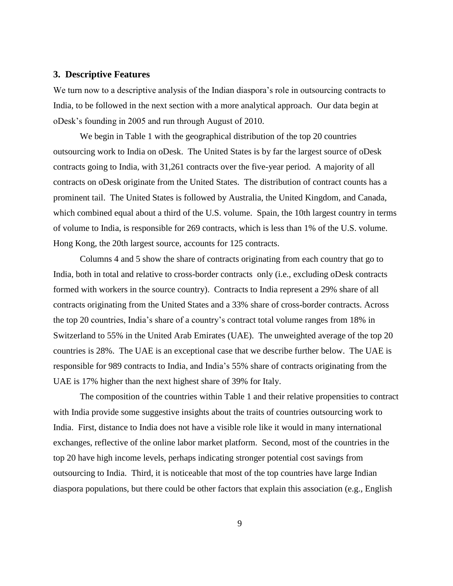#### **3. Descriptive Features**

We turn now to a descriptive analysis of the Indian diaspora's role in outsourcing contracts to India, to be followed in the next section with a more analytical approach. Our data begin at oDesk's founding in 2005 and run through August of 2010.

We begin in Table 1 with the geographical distribution of the top 20 countries outsourcing work to India on oDesk. The United States is by far the largest source of oDesk contracts going to India, with 31,261 contracts over the five-year period. A majority of all contracts on oDesk originate from the United States. The distribution of contract counts has a prominent tail. The United States is followed by Australia, the United Kingdom, and Canada, which combined equal about a third of the U.S. volume. Spain, the 10th largest country in terms of volume to India, is responsible for 269 contracts, which is less than 1% of the U.S. volume. Hong Kong, the 20th largest source, accounts for 125 contracts.

Columns 4 and 5 show the share of contracts originating from each country that go to India, both in total and relative to cross-border contracts only (i.e., excluding oDesk contracts formed with workers in the source country). Contracts to India represent a 29% share of all contracts originating from the United States and a 33% share of cross-border contracts. Across the top 20 countries, India's share of a country's contract total volume ranges from 18% in Switzerland to 55% in the United Arab Emirates (UAE). The unweighted average of the top 20 countries is 28%. The UAE is an exceptional case that we describe further below. The UAE is responsible for 989 contracts to India, and India's 55% share of contracts originating from the UAE is 17% higher than the next highest share of 39% for Italy.

The composition of the countries within Table 1 and their relative propensities to contract with India provide some suggestive insights about the traits of countries outsourcing work to India. First, distance to India does not have a visible role like it would in many international exchanges, reflective of the online labor market platform. Second, most of the countries in the top 20 have high income levels, perhaps indicating stronger potential cost savings from outsourcing to India. Third, it is noticeable that most of the top countries have large Indian diaspora populations, but there could be other factors that explain this association (e.g., English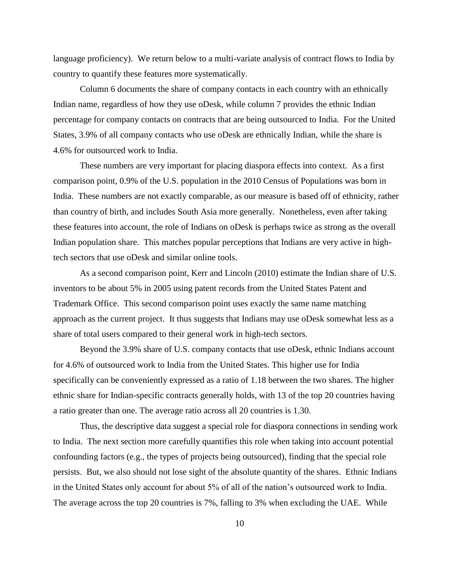language proficiency). We return below to a multi-variate analysis of contract flows to India by country to quantify these features more systematically.

Column 6 documents the share of company contacts in each country with an ethnically Indian name, regardless of how they use oDesk, while column 7 provides the ethnic Indian percentage for company contacts on contracts that are being outsourced to India. For the United States, 3.9% of all company contacts who use oDesk are ethnically Indian, while the share is 4.6% for outsourced work to India.

These numbers are very important for placing diaspora effects into context. As a first comparison point, 0.9% of the U.S. population in the 2010 Census of Populations was born in India. These numbers are not exactly comparable, as our measure is based off of ethnicity, rather than country of birth, and includes South Asia more generally. Nonetheless, even after taking these features into account, the role of Indians on oDesk is perhaps twice as strong as the overall Indian population share. This matches popular perceptions that Indians are very active in hightech sectors that use oDesk and similar online tools.

As a second comparison point, Kerr and Lincoln (2010) estimate the Indian share of U.S. inventors to be about 5% in 2005 using patent records from the United States Patent and Trademark Office. This second comparison point uses exactly the same name matching approach as the current project. It thus suggests that Indians may use oDesk somewhat less as a share of total users compared to their general work in high-tech sectors.

Beyond the 3.9% share of U.S. company contacts that use oDesk, ethnic Indians account for 4.6% of outsourced work to India from the United States. This higher use for India specifically can be conveniently expressed as a ratio of 1.18 between the two shares. The higher ethnic share for Indian-specific contracts generally holds, with 13 of the top 20 countries having a ratio greater than one. The average ratio across all 20 countries is 1.30.

Thus, the descriptive data suggest a special role for diaspora connections in sending work to India. The next section more carefully quantifies this role when taking into account potential confounding factors (e.g., the types of projects being outsourced), finding that the special role persists. But, we also should not lose sight of the absolute quantity of the shares. Ethnic Indians in the United States only account for about 5% of all of the nation's outsourced work to India. The average across the top 20 countries is 7%, falling to 3% when excluding the UAE. While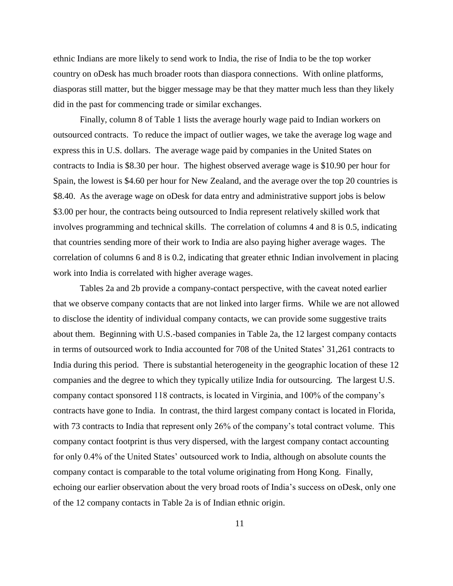ethnic Indians are more likely to send work to India, the rise of India to be the top worker country on oDesk has much broader roots than diaspora connections. With online platforms, diasporas still matter, but the bigger message may be that they matter much less than they likely did in the past for commencing trade or similar exchanges.

Finally, column 8 of Table 1 lists the average hourly wage paid to Indian workers on outsourced contracts. To reduce the impact of outlier wages, we take the average log wage and express this in U.S. dollars. The average wage paid by companies in the United States on contracts to India is \$8.30 per hour. The highest observed average wage is \$10.90 per hour for Spain, the lowest is \$4.60 per hour for New Zealand, and the average over the top 20 countries is \$8.40. As the average wage on oDesk for data entry and administrative support jobs is below \$3.00 per hour, the contracts being outsourced to India represent relatively skilled work that involves programming and technical skills. The correlation of columns 4 and 8 is 0.5, indicating that countries sending more of their work to India are also paying higher average wages. The correlation of columns 6 and 8 is 0.2, indicating that greater ethnic Indian involvement in placing work into India is correlated with higher average wages.

Tables 2a and 2b provide a company-contact perspective, with the caveat noted earlier that we observe company contacts that are not linked into larger firms. While we are not allowed to disclose the identity of individual company contacts, we can provide some suggestive traits about them. Beginning with U.S.-based companies in Table 2a, the 12 largest company contacts in terms of outsourced work to India accounted for 708 of the United States' 31,261 contracts to India during this period. There is substantial heterogeneity in the geographic location of these 12 companies and the degree to which they typically utilize India for outsourcing. The largest U.S. company contact sponsored 118 contracts, is located in Virginia, and 100% of the company's contracts have gone to India. In contrast, the third largest company contact is located in Florida, with 73 contracts to India that represent only 26% of the company's total contract volume. This company contact footprint is thus very dispersed, with the largest company contact accounting for only 0.4% of the United States' outsourced work to India, although on absolute counts the company contact is comparable to the total volume originating from Hong Kong. Finally, echoing our earlier observation about the very broad roots of India's success on oDesk, only one of the 12 company contacts in Table 2a is of Indian ethnic origin.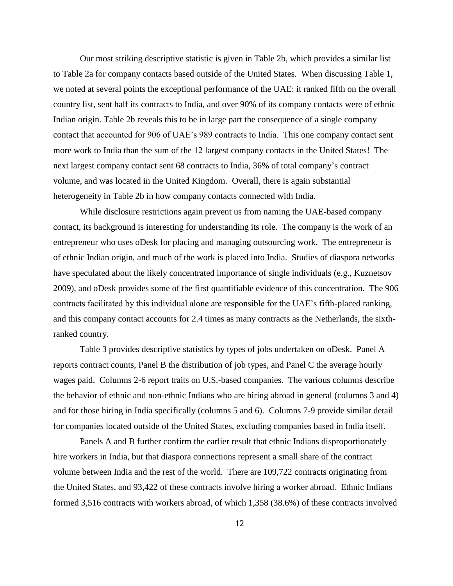Our most striking descriptive statistic is given in Table 2b, which provides a similar list to Table 2a for company contacts based outside of the United States. When discussing Table 1, we noted at several points the exceptional performance of the UAE: it ranked fifth on the overall country list, sent half its contracts to India, and over 90% of its company contacts were of ethnic Indian origin. Table 2b reveals this to be in large part the consequence of a single company contact that accounted for 906 of UAE's 989 contracts to India. This one company contact sent more work to India than the sum of the 12 largest company contacts in the United States! The next largest company contact sent 68 contracts to India, 36% of total company's contract volume, and was located in the United Kingdom. Overall, there is again substantial heterogeneity in Table 2b in how company contacts connected with India.

While disclosure restrictions again prevent us from naming the UAE-based company contact, its background is interesting for understanding its role. The company is the work of an entrepreneur who uses oDesk for placing and managing outsourcing work. The entrepreneur is of ethnic Indian origin, and much of the work is placed into India. Studies of diaspora networks have speculated about the likely concentrated importance of single individuals (e.g., Kuznetsov 2009), and oDesk provides some of the first quantifiable evidence of this concentration. The 906 contracts facilitated by this individual alone are responsible for the UAE's fifth-placed ranking, and this company contact accounts for 2.4 times as many contracts as the Netherlands, the sixthranked country.

Table 3 provides descriptive statistics by types of jobs undertaken on oDesk. Panel A reports contract counts, Panel B the distribution of job types, and Panel C the average hourly wages paid. Columns 2-6 report traits on U.S.-based companies. The various columns describe the behavior of ethnic and non-ethnic Indians who are hiring abroad in general (columns 3 and 4) and for those hiring in India specifically (columns 5 and 6). Columns 7-9 provide similar detail for companies located outside of the United States, excluding companies based in India itself.

Panels A and B further confirm the earlier result that ethnic Indians disproportionately hire workers in India, but that diaspora connections represent a small share of the contract volume between India and the rest of the world. There are 109,722 contracts originating from the United States, and 93,422 of these contracts involve hiring a worker abroad. Ethnic Indians formed 3,516 contracts with workers abroad, of which 1,358 (38.6%) of these contracts involved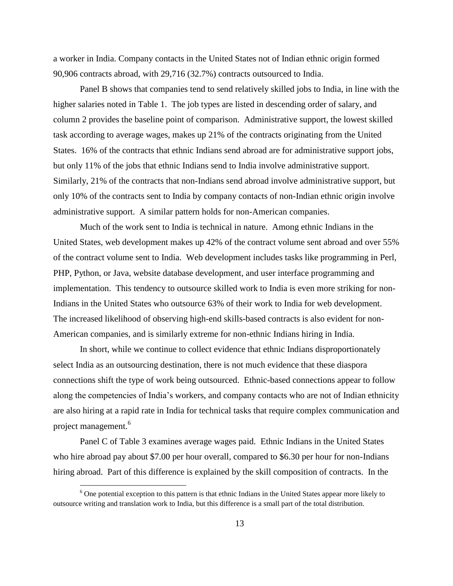a worker in India. Company contacts in the United States not of Indian ethnic origin formed 90,906 contracts abroad, with 29,716 (32.7%) contracts outsourced to India.

Panel B shows that companies tend to send relatively skilled jobs to India, in line with the higher salaries noted in Table 1. The job types are listed in descending order of salary, and column 2 provides the baseline point of comparison. Administrative support, the lowest skilled task according to average wages, makes up 21% of the contracts originating from the United States. 16% of the contracts that ethnic Indians send abroad are for administrative support jobs, but only 11% of the jobs that ethnic Indians send to India involve administrative support. Similarly, 21% of the contracts that non-Indians send abroad involve administrative support, but only 10% of the contracts sent to India by company contacts of non-Indian ethnic origin involve administrative support. A similar pattern holds for non-American companies.

Much of the work sent to India is technical in nature. Among ethnic Indians in the United States, web development makes up 42% of the contract volume sent abroad and over 55% of the contract volume sent to India. Web development includes tasks like programming in Perl, PHP, Python, or Java, website database development, and user interface programming and implementation. This tendency to outsource skilled work to India is even more striking for non-Indians in the United States who outsource 63% of their work to India for web development. The increased likelihood of observing high-end skills-based contracts is also evident for non-American companies, and is similarly extreme for non-ethnic Indians hiring in India.

In short, while we continue to collect evidence that ethnic Indians disproportionately select India as an outsourcing destination, there is not much evidence that these diaspora connections shift the type of work being outsourced. Ethnic-based connections appear to follow along the competencies of India's workers, and company contacts who are not of Indian ethnicity are also hiring at a rapid rate in India for technical tasks that require complex communication and project management.<sup>6</sup>

Panel C of Table 3 examines average wages paid. Ethnic Indians in the United States who hire abroad pay about \$7.00 per hour overall, compared to \$6.30 per hour for non-Indians hiring abroad. Part of this difference is explained by the skill composition of contracts. In the

<sup>&</sup>lt;sup>6</sup> One potential exception to this pattern is that ethnic Indians in the United States appear more likely to outsource writing and translation work to India, but this difference is a small part of the total distribution.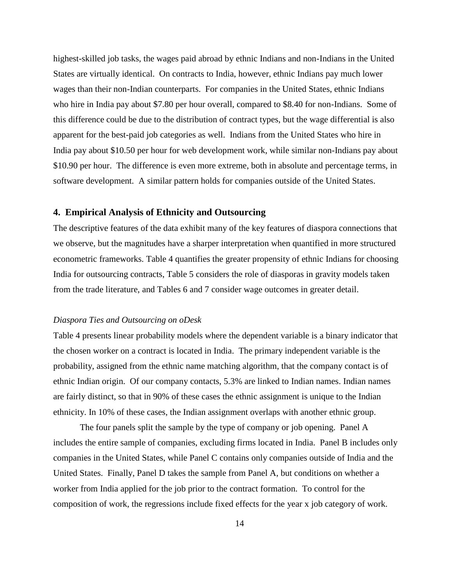highest-skilled job tasks, the wages paid abroad by ethnic Indians and non-Indians in the United States are virtually identical. On contracts to India, however, ethnic Indians pay much lower wages than their non-Indian counterparts. For companies in the United States, ethnic Indians who hire in India pay about \$7.80 per hour overall, compared to \$8.40 for non-Indians. Some of this difference could be due to the distribution of contract types, but the wage differential is also apparent for the best-paid job categories as well. Indians from the United States who hire in India pay about \$10.50 per hour for web development work, while similar non-Indians pay about \$10.90 per hour. The difference is even more extreme, both in absolute and percentage terms, in software development. A similar pattern holds for companies outside of the United States.

## **4. Empirical Analysis of Ethnicity and Outsourcing**

The descriptive features of the data exhibit many of the key features of diaspora connections that we observe, but the magnitudes have a sharper interpretation when quantified in more structured econometric frameworks. Table 4 quantifies the greater propensity of ethnic Indians for choosing India for outsourcing contracts, Table 5 considers the role of diasporas in gravity models taken from the trade literature, and Tables 6 and 7 consider wage outcomes in greater detail.

#### *Diaspora Ties and Outsourcing on oDesk*

Table 4 presents linear probability models where the dependent variable is a binary indicator that the chosen worker on a contract is located in India. The primary independent variable is the probability, assigned from the ethnic name matching algorithm, that the company contact is of ethnic Indian origin. Of our company contacts, 5.3% are linked to Indian names. Indian names are fairly distinct, so that in 90% of these cases the ethnic assignment is unique to the Indian ethnicity. In 10% of these cases, the Indian assignment overlaps with another ethnic group.

The four panels split the sample by the type of company or job opening. Panel A includes the entire sample of companies, excluding firms located in India. Panel B includes only companies in the United States, while Panel C contains only companies outside of India and the United States. Finally, Panel D takes the sample from Panel A, but conditions on whether a worker from India applied for the job prior to the contract formation. To control for the composition of work, the regressions include fixed effects for the year x job category of work.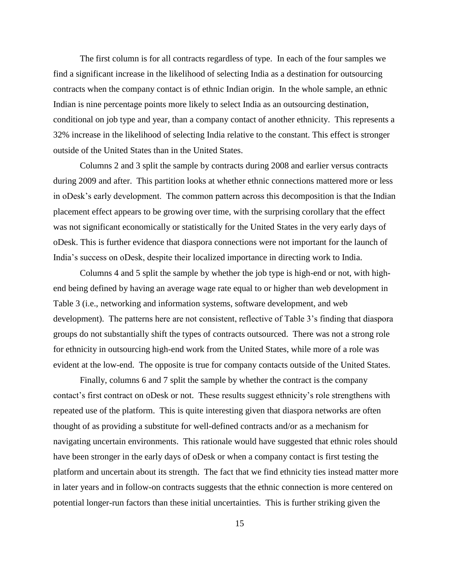The first column is for all contracts regardless of type. In each of the four samples we find a significant increase in the likelihood of selecting India as a destination for outsourcing contracts when the company contact is of ethnic Indian origin. In the whole sample, an ethnic Indian is nine percentage points more likely to select India as an outsourcing destination, conditional on job type and year, than a company contact of another ethnicity. This represents a 32% increase in the likelihood of selecting India relative to the constant. This effect is stronger outside of the United States than in the United States.

Columns 2 and 3 split the sample by contracts during 2008 and earlier versus contracts during 2009 and after. This partition looks at whether ethnic connections mattered more or less in oDesk's early development. The common pattern across this decomposition is that the Indian placement effect appears to be growing over time, with the surprising corollary that the effect was not significant economically or statistically for the United States in the very early days of oDesk. This is further evidence that diaspora connections were not important for the launch of India's success on oDesk, despite their localized importance in directing work to India.

Columns 4 and 5 split the sample by whether the job type is high-end or not, with highend being defined by having an average wage rate equal to or higher than web development in Table 3 (i.e., networking and information systems, software development, and web development). The patterns here are not consistent, reflective of Table 3's finding that diaspora groups do not substantially shift the types of contracts outsourced. There was not a strong role for ethnicity in outsourcing high-end work from the United States, while more of a role was evident at the low-end. The opposite is true for company contacts outside of the United States.

Finally, columns 6 and 7 split the sample by whether the contract is the company contact's first contract on oDesk or not. These results suggest ethnicity's role strengthens with repeated use of the platform. This is quite interesting given that diaspora networks are often thought of as providing a substitute for well-defined contracts and/or as a mechanism for navigating uncertain environments. This rationale would have suggested that ethnic roles should have been stronger in the early days of oDesk or when a company contact is first testing the platform and uncertain about its strength. The fact that we find ethnicity ties instead matter more in later years and in follow-on contracts suggests that the ethnic connection is more centered on potential longer-run factors than these initial uncertainties. This is further striking given the

15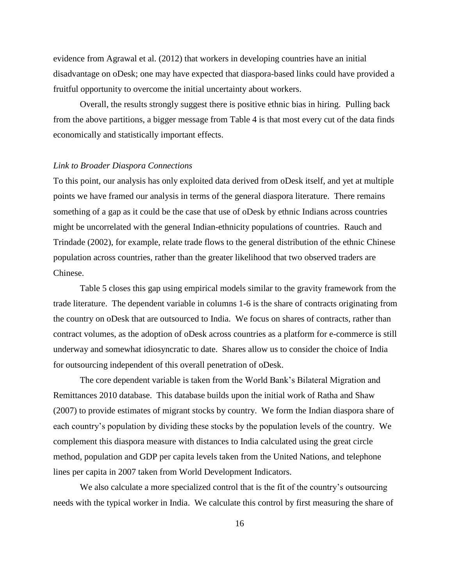evidence from Agrawal et al. (2012) that workers in developing countries have an initial disadvantage on oDesk; one may have expected that diaspora-based links could have provided a fruitful opportunity to overcome the initial uncertainty about workers.

Overall, the results strongly suggest there is positive ethnic bias in hiring. Pulling back from the above partitions, a bigger message from Table 4 is that most every cut of the data finds economically and statistically important effects.

#### *Link to Broader Diaspora Connections*

To this point, our analysis has only exploited data derived from oDesk itself, and yet at multiple points we have framed our analysis in terms of the general diaspora literature. There remains something of a gap as it could be the case that use of oDesk by ethnic Indians across countries might be uncorrelated with the general Indian-ethnicity populations of countries. Rauch and Trindade (2002), for example, relate trade flows to the general distribution of the ethnic Chinese population across countries, rather than the greater likelihood that two observed traders are Chinese.

Table 5 closes this gap using empirical models similar to the gravity framework from the trade literature. The dependent variable in columns 1-6 is the share of contracts originating from the country on oDesk that are outsourced to India. We focus on shares of contracts, rather than contract volumes, as the adoption of oDesk across countries as a platform for e-commerce is still underway and somewhat idiosyncratic to date. Shares allow us to consider the choice of India for outsourcing independent of this overall penetration of oDesk.

The core dependent variable is taken from the World Bank's Bilateral Migration and Remittances 2010 database. This database builds upon the initial work of Ratha and Shaw (2007) to provide estimates of migrant stocks by country. We form the Indian diaspora share of each country's population by dividing these stocks by the population levels of the country. We complement this diaspora measure with distances to India calculated using the great circle method, population and GDP per capita levels taken from the United Nations, and telephone lines per capita in 2007 taken from World Development Indicators.

We also calculate a more specialized control that is the fit of the country's outsourcing needs with the typical worker in India. We calculate this control by first measuring the share of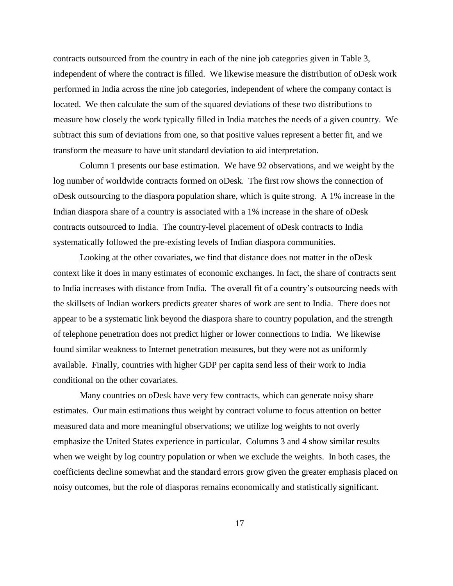contracts outsourced from the country in each of the nine job categories given in Table 3, independent of where the contract is filled. We likewise measure the distribution of oDesk work performed in India across the nine job categories, independent of where the company contact is located. We then calculate the sum of the squared deviations of these two distributions to measure how closely the work typically filled in India matches the needs of a given country. We subtract this sum of deviations from one, so that positive values represent a better fit, and we transform the measure to have unit standard deviation to aid interpretation.

Column 1 presents our base estimation. We have 92 observations, and we weight by the log number of worldwide contracts formed on oDesk. The first row shows the connection of oDesk outsourcing to the diaspora population share, which is quite strong. A 1% increase in the Indian diaspora share of a country is associated with a 1% increase in the share of oDesk contracts outsourced to India. The country-level placement of oDesk contracts to India systematically followed the pre-existing levels of Indian diaspora communities.

Looking at the other covariates, we find that distance does not matter in the oDesk context like it does in many estimates of economic exchanges. In fact, the share of contracts sent to India increases with distance from India. The overall fit of a country's outsourcing needs with the skillsets of Indian workers predicts greater shares of work are sent to India. There does not appear to be a systematic link beyond the diaspora share to country population, and the strength of telephone penetration does not predict higher or lower connections to India. We likewise found similar weakness to Internet penetration measures, but they were not as uniformly available. Finally, countries with higher GDP per capita send less of their work to India conditional on the other covariates.

Many countries on oDesk have very few contracts, which can generate noisy share estimates. Our main estimations thus weight by contract volume to focus attention on better measured data and more meaningful observations; we utilize log weights to not overly emphasize the United States experience in particular. Columns 3 and 4 show similar results when we weight by log country population or when we exclude the weights. In both cases, the coefficients decline somewhat and the standard errors grow given the greater emphasis placed on noisy outcomes, but the role of diasporas remains economically and statistically significant.

17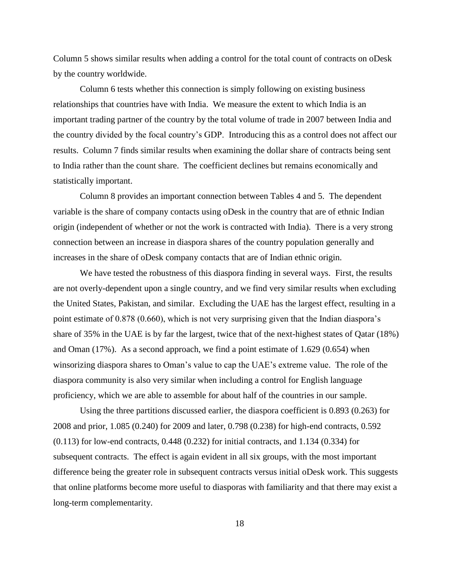Column 5 shows similar results when adding a control for the total count of contracts on oDesk by the country worldwide.

Column 6 tests whether this connection is simply following on existing business relationships that countries have with India. We measure the extent to which India is an important trading partner of the country by the total volume of trade in 2007 between India and the country divided by the focal country's GDP. Introducing this as a control does not affect our results. Column 7 finds similar results when examining the dollar share of contracts being sent to India rather than the count share. The coefficient declines but remains economically and statistically important.

Column 8 provides an important connection between Tables 4 and 5. The dependent variable is the share of company contacts using oDesk in the country that are of ethnic Indian origin (independent of whether or not the work is contracted with India). There is a very strong connection between an increase in diaspora shares of the country population generally and increases in the share of oDesk company contacts that are of Indian ethnic origin.

We have tested the robustness of this diaspora finding in several ways. First, the results are not overly-dependent upon a single country, and we find very similar results when excluding the United States, Pakistan, and similar. Excluding the UAE has the largest effect, resulting in a point estimate of 0.878 (0.660), which is not very surprising given that the Indian diaspora's share of 35% in the UAE is by far the largest, twice that of the next-highest states of Qatar (18%) and Oman (17%). As a second approach, we find a point estimate of 1.629 (0.654) when winsorizing diaspora shares to Oman's value to cap the UAE's extreme value. The role of the diaspora community is also very similar when including a control for English language proficiency, which we are able to assemble for about half of the countries in our sample.

Using the three partitions discussed earlier, the diaspora coefficient is 0.893 (0.263) for 2008 and prior, 1.085 (0.240) for 2009 and later, 0.798 (0.238) for high-end contracts, 0.592 (0.113) for low-end contracts, 0.448 (0.232) for initial contracts, and 1.134 (0.334) for subsequent contracts. The effect is again evident in all six groups, with the most important difference being the greater role in subsequent contracts versus initial oDesk work. This suggests that online platforms become more useful to diasporas with familiarity and that there may exist a long-term complementarity.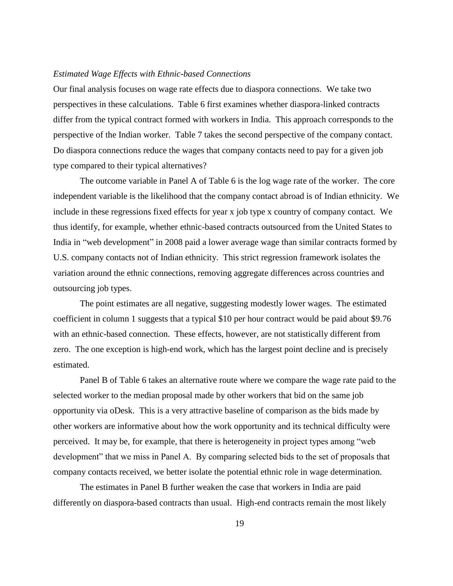#### *Estimated Wage Effects with Ethnic-based Connections*

Our final analysis focuses on wage rate effects due to diaspora connections. We take two perspectives in these calculations. Table 6 first examines whether diaspora-linked contracts differ from the typical contract formed with workers in India. This approach corresponds to the perspective of the Indian worker. Table 7 takes the second perspective of the company contact. Do diaspora connections reduce the wages that company contacts need to pay for a given job type compared to their typical alternatives?

The outcome variable in Panel A of Table 6 is the log wage rate of the worker. The core independent variable is the likelihood that the company contact abroad is of Indian ethnicity. We include in these regressions fixed effects for year x job type x country of company contact. We thus identify, for example, whether ethnic-based contracts outsourced from the United States to India in "web development" in 2008 paid a lower average wage than similar contracts formed by U.S. company contacts not of Indian ethnicity. This strict regression framework isolates the variation around the ethnic connections, removing aggregate differences across countries and outsourcing job types.

The point estimates are all negative, suggesting modestly lower wages. The estimated coefficient in column 1 suggests that a typical \$10 per hour contract would be paid about \$9.76 with an ethnic-based connection. These effects, however, are not statistically different from zero. The one exception is high-end work, which has the largest point decline and is precisely estimated.

Panel B of Table 6 takes an alternative route where we compare the wage rate paid to the selected worker to the median proposal made by other workers that bid on the same job opportunity via oDesk. This is a very attractive baseline of comparison as the bids made by other workers are informative about how the work opportunity and its technical difficulty were perceived. It may be, for example, that there is heterogeneity in project types among "web development" that we miss in Panel A. By comparing selected bids to the set of proposals that company contacts received, we better isolate the potential ethnic role in wage determination.

The estimates in Panel B further weaken the case that workers in India are paid differently on diaspora-based contracts than usual. High-end contracts remain the most likely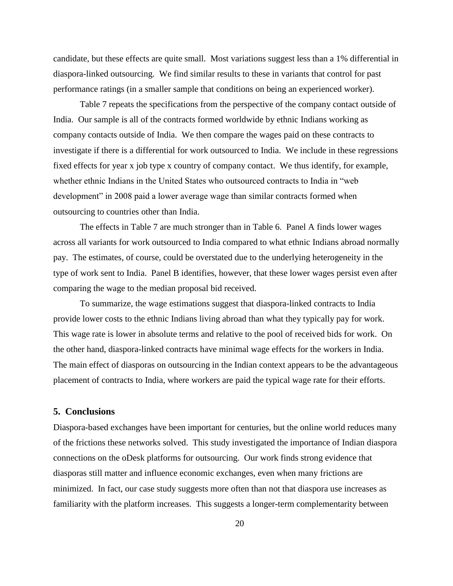candidate, but these effects are quite small. Most variations suggest less than a 1% differential in diaspora-linked outsourcing. We find similar results to these in variants that control for past performance ratings (in a smaller sample that conditions on being an experienced worker).

Table 7 repeats the specifications from the perspective of the company contact outside of India. Our sample is all of the contracts formed worldwide by ethnic Indians working as company contacts outside of India. We then compare the wages paid on these contracts to investigate if there is a differential for work outsourced to India. We include in these regressions fixed effects for year x job type x country of company contact. We thus identify, for example, whether ethnic Indians in the United States who outsourced contracts to India in "web development" in 2008 paid a lower average wage than similar contracts formed when outsourcing to countries other than India.

The effects in Table 7 are much stronger than in Table 6. Panel A finds lower wages across all variants for work outsourced to India compared to what ethnic Indians abroad normally pay. The estimates, of course, could be overstated due to the underlying heterogeneity in the type of work sent to India. Panel B identifies, however, that these lower wages persist even after comparing the wage to the median proposal bid received.

To summarize, the wage estimations suggest that diaspora-linked contracts to India provide lower costs to the ethnic Indians living abroad than what they typically pay for work. This wage rate is lower in absolute terms and relative to the pool of received bids for work. On the other hand, diaspora-linked contracts have minimal wage effects for the workers in India. The main effect of diasporas on outsourcing in the Indian context appears to be the advantageous placement of contracts to India, where workers are paid the typical wage rate for their efforts.

### **5. Conclusions**

Diaspora-based exchanges have been important for centuries, but the online world reduces many of the frictions these networks solved. This study investigated the importance of Indian diaspora connections on the oDesk platforms for outsourcing. Our work finds strong evidence that diasporas still matter and influence economic exchanges, even when many frictions are minimized. In fact, our case study suggests more often than not that diaspora use increases as familiarity with the platform increases. This suggests a longer-term complementarity between

20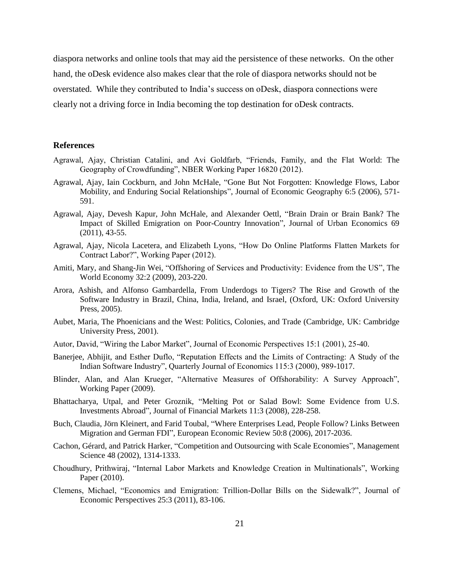diaspora networks and online tools that may aid the persistence of these networks. On the other hand, the oDesk evidence also makes clear that the role of diaspora networks should not be overstated. While they contributed to India's success on oDesk, diaspora connections were clearly not a driving force in India becoming the top destination for oDesk contracts.

#### **References**

- Agrawal, Ajay, Christian Catalini, and Avi Goldfarb, "Friends, Family, and the Flat World: The Geography of Crowdfunding", NBER Working Paper 16820 (2012).
- Agrawal, Ajay, Iain Cockburn, and John McHale, "Gone But Not Forgotten: Knowledge Flows, Labor Mobility, and Enduring Social Relationships", Journal of Economic Geography 6:5 (2006), 571- 591.
- Agrawal, Ajay, Devesh Kapur, John McHale, and Alexander Oettl, "Brain Drain or Brain Bank? The Impact of Skilled Emigration on Poor-Country Innovation", Journal of Urban Economics 69 (2011), 43-55.
- Agrawal, Ajay, Nicola Lacetera, and Elizabeth Lyons, "How Do Online Platforms Flatten Markets for Contract Labor?", Working Paper (2012).
- Amiti, Mary, and Shang-Jin Wei, "Offshoring of Services and Productivity: Evidence from the US", The World Economy 32:2 (2009), 203-220.
- Arora, Ashish, and Alfonso Gambardella, From Underdogs to Tigers? The Rise and Growth of the Software Industry in Brazil, China, India, Ireland, and Israel, (Oxford, UK: Oxford University Press, 2005).
- Aubet, Maria, The Phoenicians and the West: Politics, Colonies, and Trade (Cambridge, UK: Cambridge University Press, 2001).
- Autor, David, "Wiring the Labor Market", Journal of Economic Perspectives 15:1 (2001), 25-40.
- Banerjee, Abhijit, and Esther Duflo, "Reputation Effects and the Limits of Contracting: A Study of the Indian Software Industry", Quarterly Journal of Economics 115:3 (2000), 989-1017.
- Blinder, Alan, and Alan Krueger, "Alternative Measures of Offshorability: A Survey Approach", Working Paper (2009).
- Bhattacharya, Utpal, and Peter Groznik, "Melting Pot or Salad Bowl: Some Evidence from U.S. Investments Abroad", Journal of Financial Markets 11:3 (2008), 228-258.
- Buch, Claudia, Jörn Kleinert, and Farid Toubal, "Where Enterprises Lead, People Follow? Links Between Migration and German FDI", European Economic Review 50:8 (2006), 2017-2036.
- Cachon, Gérard, and Patrick Harker, "Competition and Outsourcing with Scale Economies", Management Science 48 (2002), 1314-1333.
- Choudhury, Prithwiraj, "Internal Labor Markets and Knowledge Creation in Multinationals", Working Paper (2010).
- Clemens, Michael, "Economics and Emigration: Trillion-Dollar Bills on the Sidewalk?", Journal of Economic Perspectives 25:3 (2011), 83-106.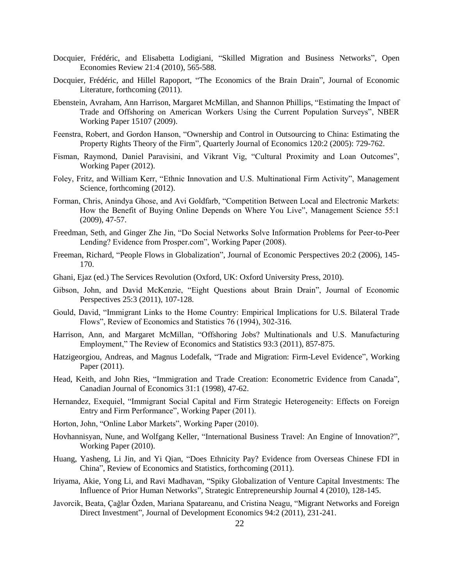- Docquier, Frédéric, and Elisabetta Lodigiani, "Skilled Migration and Business Networks", Open Economies Review 21:4 (2010), 565-588.
- Docquier, Frédéric, and Hillel Rapoport, "The Economics of the Brain Drain", Journal of Economic Literature, forthcoming (2011).
- Ebenstein, Avraham, Ann Harrison, Margaret McMillan, and Shannon Phillips, "Estimating the Impact of Trade and Offshoring on American Workers Using the Current Population Surveys", NBER Working Paper 15107 (2009).
- Feenstra, Robert, and Gordon Hanson, "Ownership and Control in Outsourcing to China: Estimating the Property Rights Theory of the Firm", Quarterly Journal of Economics 120:2 (2005): 729-762.
- Fisman, Raymond, Daniel Paravisini, and Vikrant Vig, "Cultural Proximity and Loan Outcomes", Working Paper (2012).
- Foley, Fritz, and William Kerr, "Ethnic Innovation and U.S. Multinational Firm Activity", Management Science, forthcoming (2012).
- Forman, Chris, Anindya Ghose, and Avi Goldfarb, "Competition Between Local and Electronic Markets: How the Benefit of Buying Online Depends on Where You Live", Management Science 55:1 (2009), 47-57.
- Freedman, Seth, and Ginger Zhe Jin, "Do Social Networks Solve Information Problems for Peer-to-Peer Lending? Evidence from Prosper.com", Working Paper (2008).
- Freeman, Richard, "People Flows in Globalization", Journal of Economic Perspectives 20:2 (2006), 145- 170.
- Ghani, Ejaz (ed.) The Services Revolution (Oxford, UK: Oxford University Press, 2010).
- Gibson, John, and David McKenzie, "Eight Questions about Brain Drain", Journal of Economic Perspectives 25:3 (2011), 107-128.
- Gould, David, "Immigrant Links to the Home Country: Empirical Implications for U.S. Bilateral Trade Flows", Review of Economics and Statistics 76 (1994), 302-316.
- Harrison, Ann, and Margaret McMillan, "Offshoring Jobs? Multinationals and U.S. Manufacturing Employment," The Review of Economics and Statistics 93:3 (2011), 857-875.
- Hatzigeorgiou, Andreas, and Magnus Lodefalk, "Trade and Migration: Firm-Level Evidence", Working Paper (2011).
- Head, Keith, and John Ries, "Immigration and Trade Creation: Econometric Evidence from Canada", Canadian Journal of Economics 31:1 (1998), 47-62.
- Hernandez, Exequiel, "Immigrant Social Capital and Firm Strategic Heterogeneity: Effects on Foreign Entry and Firm Performance", Working Paper (2011).
- Horton, John, "Online Labor Markets", Working Paper (2010).
- Hovhannisyan, Nune, and Wolfgang Keller, "International Business Travel: An Engine of Innovation?", Working Paper (2010).
- Huang, Yasheng, Li Jin, and Yi Qian, "Does Ethnicity Pay? Evidence from Overseas Chinese FDI in China", Review of Economics and Statistics, forthcoming (2011).
- Iriyama, Akie, Yong Li, and Ravi Madhavan, "Spiky Globalization of Venture Capital Investments: The Influence of Prior Human Networks", Strategic Entrepreneurship Journal 4 (2010), 128-145.
- Javorcik, Beata, Çağlar Özden, Mariana Spatareanu, and Cristina Neagu, "Migrant Networks and Foreign Direct Investment", Journal of Development Economics 94:2 (2011), 231-241.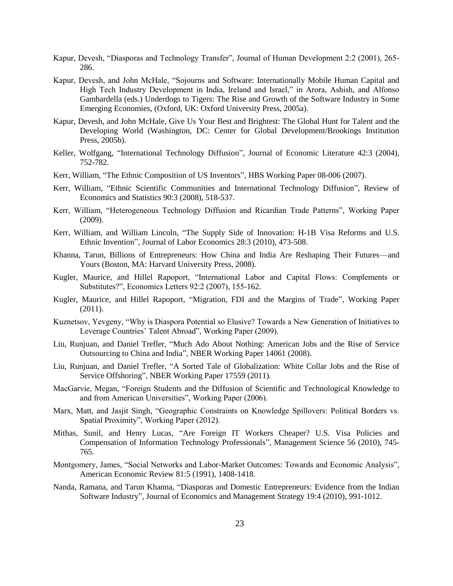- Kapur, Devesh, "Diasporas and Technology Transfer", Journal of Human Development 2:2 (2001), 265- 286.
- Kapur, Devesh, and John McHale, "Sojourns and Software: Internationally Mobile Human Capital and High Tech Industry Development in India, Ireland and Israel," in Arora, Ashish, and Alfonso Gambardella (eds.) Underdogs to Tigers: The Rise and Growth of the Software Industry in Some Emerging Economies, (Oxford, UK: Oxford University Press, 2005a).
- Kapur, Devesh, and John McHale, Give Us Your Best and Brightest: The Global Hunt for Talent and the Developing World (Washington, DC: Center for Global Development/Brookings Institution Press, 2005b).
- Keller, Wolfgang, "International Technology Diffusion", Journal of Economic Literature 42:3 (2004), 752-782.
- Kerr, William, "The Ethnic Composition of US Inventors", HBS Working Paper 08-006 (2007).
- Kerr, William, "Ethnic Scientific Communities and International Technology Diffusion", Review of Economics and Statistics 90:3 (2008), 518-537.
- Kerr, William, "Heterogeneous Technology Diffusion and Ricardian Trade Patterns", Working Paper (2009).
- Kerr, William, and William Lincoln, "The Supply Side of Innovation: H-1B Visa Reforms and U.S. Ethnic Invention", Journal of Labor Economics 28:3 (2010), 473-508.
- Khanna, Tarun, Billions of Entrepreneurs: How China and India Are Reshaping Their Futures—and Yours (Boston, MA: Harvard University Press, 2008).
- Kugler, Maurice, and Hillel Rapoport, "International Labor and Capital Flows: Complements or Substitutes?", Economics Letters 92:2 (2007), 155-162.
- Kugler, Maurice, and Hillel Rapoport, "Migration, FDI and the Margins of Trade", Working Paper (2011).
- Kuznetsov, Yevgeny, "Why is Diaspora Potential so Elusive? Towards a New Generation of Initiatives to Leverage Countries' Talent Abroad", Working Paper (2009).
- Liu, Runjuan, and Daniel Trefler, "Much Ado About Nothing: American Jobs and the Rise of Service Outsourcing to China and India", NBER Working Paper 14061 (2008).
- Liu, Runjuan, and Daniel Trefler, "A Sorted Tale of Globalization: White Collar Jobs and the Rise of Service Offshoring", NBER Working Paper 17559 (2011).
- MacGarvie, Megan, "Foreign Students and the Diffusion of Scientific and Technological Knowledge to and from American Universities", Working Paper (2006).
- Marx, Matt, and Jasjit Singh, "Geographic Constraints on Knowledge Spillovers: Political Borders vs. Spatial Proximity", Working Paper (2012).
- Mithas, Sunil, and Henry Lucas, "Are Foreign IT Workers Cheaper? U.S. Visa Policies and Compensation of Information Technology Professionals", Management Science 56 (2010), 745- 765.
- Montgomery, James, "Social Networks and Labor-Market Outcomes: Towards and Economic Analysis", American Economic Review 81:5 (1991), 1408-1418.
- Nanda, Ramana, and Tarun Khanna, "Diasporas and Domestic Entrepreneurs: Evidence from the Indian Software Industry", Journal of Economics and Management Strategy 19:4 (2010), 991-1012.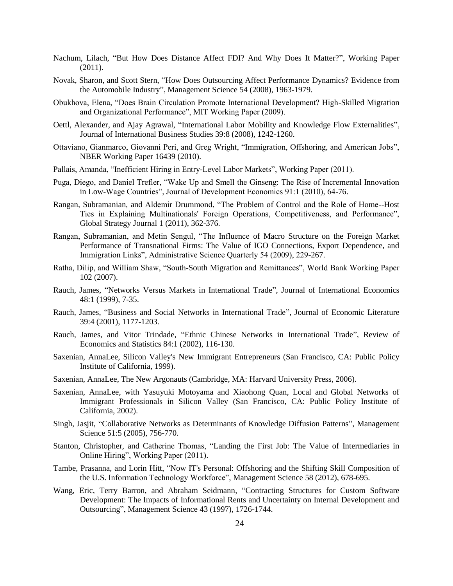- Nachum, Lilach, "But How Does Distance Affect FDI? And Why Does It Matter?", Working Paper (2011).
- Novak, Sharon, and Scott Stern, "How Does Outsourcing Affect Performance Dynamics? Evidence from the Automobile Industry", Management Science 54 (2008), 1963-1979.
- Obukhova, Elena, "Does Brain Circulation Promote International Development? High-Skilled Migration and Organizational Performance", MIT Working Paper (2009).
- Oettl, Alexander, and Ajay Agrawal, "International Labor Mobility and Knowledge Flow Externalities", Journal of International Business Studies 39:8 (2008), 1242-1260.
- Ottaviano, Gianmarco, Giovanni Peri, and Greg Wright, "Immigration, Offshoring, and American Jobs", NBER Working Paper 16439 (2010).
- Pallais, Amanda, "Inefficient Hiring in Entry-Level Labor Markets", Working Paper (2011).
- Puga, Diego, and Daniel Trefler, "Wake Up and Smell the Ginseng: The Rise of Incremental Innovation in Low-Wage Countries", Journal of Development Economics 91:1 (2010), 64-76.
- Rangan, Subramanian, and Aldemir Drummond, "The Problem of Control and the Role of Home--Host Ties in Explaining Multinationals' Foreign Operations, Competitiveness, and Performance", Global Strategy Journal 1 (2011), 362-376.
- Rangan, Subramanian, and Metin Sengul, "The Influence of Macro Structure on the Foreign Market Performance of Transnational Firms: The Value of IGO Connections, Export Dependence, and Immigration Links", Administrative Science Quarterly 54 (2009), 229-267.
- Ratha, Dilip, and William Shaw, "South-South Migration and Remittances", World Bank Working Paper 102 (2007).
- Rauch, James, "Networks Versus Markets in International Trade", Journal of International Economics 48:1 (1999), 7-35.
- Rauch, James, "Business and Social Networks in International Trade", Journal of Economic Literature 39:4 (2001), 1177-1203.
- Rauch, James, and Vitor Trindade, "Ethnic Chinese Networks in International Trade", Review of Economics and Statistics 84:1 (2002), 116-130.
- Saxenian, AnnaLee, Silicon Valley's New Immigrant Entrepreneurs (San Francisco, CA: Public Policy Institute of California, 1999).
- Saxenian, AnnaLee, The New Argonauts (Cambridge, MA: Harvard University Press, 2006).
- Saxenian, AnnaLee, with Yasuyuki Motoyama and Xiaohong Quan, Local and Global Networks of Immigrant Professionals in Silicon Valley (San Francisco, CA: Public Policy Institute of California, 2002).
- Singh, Jasjit, "Collaborative Networks as Determinants of Knowledge Diffusion Patterns", Management Science 51:5 (2005), 756-770.
- Stanton, Christopher, and Catherine Thomas, "Landing the First Job: The Value of Intermediaries in Online Hiring", Working Paper (2011).
- Tambe, Prasanna, and Lorin Hitt, "Now IT's Personal: Offshoring and the Shifting Skill Composition of the U.S. Information Technology Workforce", Management Science 58 (2012), 678-695.
- Wang, Eric, Terry Barron, and Abraham Seidmann, "Contracting Structures for Custom Software Development: The Impacts of Informational Rents and Uncertainty on Internal Development and Outsourcing", Management Science 43 (1997), 1726-1744.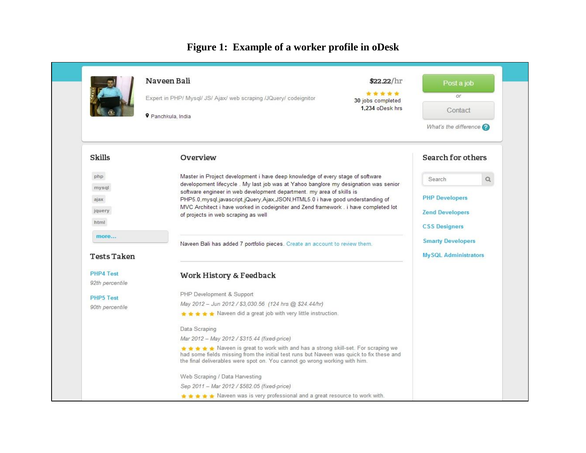# **Figure 1: Example of a worker profile in oDesk**

|                                     | Naveen Bali<br>Expert in PHP/ Mysql/ JS/ Ajax/ web scraping /JQuery/ codeignitor<br>P Panchkula, India                                                                                                                                                          | \$22.22/hr<br>*****<br>30 jobs completed<br>1.234 oDesk hrs                                                                                                                                                                                          | Post a job<br>Or.<br>Contact<br>What's the difference $\bigcirc$ |  |  |
|-------------------------------------|-----------------------------------------------------------------------------------------------------------------------------------------------------------------------------------------------------------------------------------------------------------------|------------------------------------------------------------------------------------------------------------------------------------------------------------------------------------------------------------------------------------------------------|------------------------------------------------------------------|--|--|
| Skills                              | Overview                                                                                                                                                                                                                                                        |                                                                                                                                                                                                                                                      | Search for others                                                |  |  |
| php                                 | Master in Project development i have deep knowledge of every stage of software<br>developoment lifecycle. My last job was at Yahoo banglore my designation was senior                                                                                           |                                                                                                                                                                                                                                                      | $\hbox{\tt Q}$<br>Search                                         |  |  |
| mysql<br>ajax<br>jquery<br>html     | of projects in web scraping as well                                                                                                                                                                                                                             | software engineer in web development department. my area of skills is<br>PHP5.0, mysql, javascript, jQuery, Ajax, JSON, HTML5.0 i have good understanding of<br>MVC Architect i have worked in codeigniter and Zend framework . i have completed lot |                                                                  |  |  |
| more<br><b>Tests Taken</b>          | Naveen Bali has added 7 portfolio pieces. Create an account to review them.                                                                                                                                                                                     |                                                                                                                                                                                                                                                      | <b>Smarty Developers</b><br><b>MySQL Administrators</b>          |  |  |
| <b>PHP4 Test</b><br>92th percentile | Work History & Feedback                                                                                                                                                                                                                                         |                                                                                                                                                                                                                                                      |                                                                  |  |  |
|                                     | PHP Development & Support                                                                                                                                                                                                                                       |                                                                                                                                                                                                                                                      |                                                                  |  |  |
| <b>PHP5 Test</b><br>90th percentile | May 2012 - Jun 2012 / \$3,030.56 (124 hrs @ \$24.44/hr)                                                                                                                                                                                                         |                                                                                                                                                                                                                                                      |                                                                  |  |  |
|                                     | ★★★★ Naveen did a great job with very little instruction.                                                                                                                                                                                                       |                                                                                                                                                                                                                                                      |                                                                  |  |  |
|                                     | Data Scraping                                                                                                                                                                                                                                                   |                                                                                                                                                                                                                                                      |                                                                  |  |  |
|                                     | Mar 2012 - May 2012 / \$315.44 (fixed-price)                                                                                                                                                                                                                    |                                                                                                                                                                                                                                                      |                                                                  |  |  |
|                                     | <b>★★★★★</b> Naveen is great to work with and has a strong skill-set. For scraping we<br>had some fields missing from the initial test runs but Naveen was quick to fix these and<br>the final deliverables were spot on. You cannot go wrong working with him. |                                                                                                                                                                                                                                                      |                                                                  |  |  |
|                                     | Web Scraping / Data Harvesting                                                                                                                                                                                                                                  |                                                                                                                                                                                                                                                      |                                                                  |  |  |
|                                     | Sep 2011 - Mar 2012 / \$582.05 (fixed-price)                                                                                                                                                                                                                    |                                                                                                                                                                                                                                                      |                                                                  |  |  |
|                                     | ★★★★ Naveen was is very professional and a great resource to work with.                                                                                                                                                                                         |                                                                                                                                                                                                                                                      |                                                                  |  |  |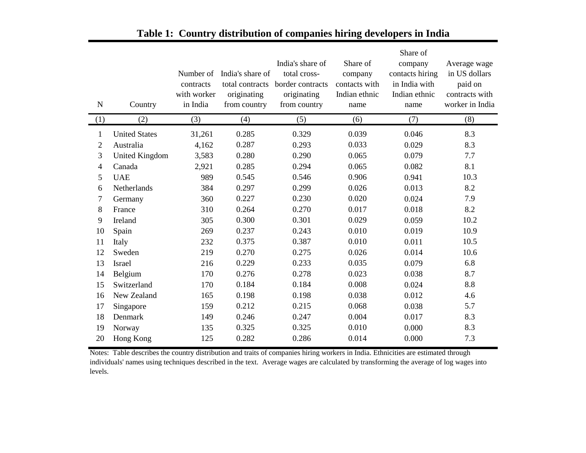|                |                      |             |                  |                  |               | Share of        |                 |
|----------------|----------------------|-------------|------------------|------------------|---------------|-----------------|-----------------|
|                |                      |             |                  | India's share of | Share of      | company         | Average wage    |
|                |                      | Number of   | India's share of | total cross-     | company       | contacts hiring | in US dollars   |
|                |                      | contracts   | total contracts  | border contracts | contacts with | in India with   | paid on         |
|                |                      | with worker | originating      | originating      | Indian ethnic | Indian ethnic   | contracts with  |
| ${\bf N}$      | Country              | in India    | from country     | from country     | name          | name            | worker in India |
| (1)            | (2)                  | (3)         | (4)              | (5)              | (6)           | (7)             | (8)             |
| $\mathbf{1}$   | <b>United States</b> | 31,261      | 0.285            | 0.329            | 0.039         | 0.046           | 8.3             |
| $\overline{2}$ | Australia            | 4,162       | 0.287            | 0.293            | 0.033         | 0.029           | 8.3             |
| 3              | United Kingdom       | 3,583       | 0.280            | 0.290            | 0.065         | 0.079           | 7.7             |
| $\overline{4}$ | Canada               | 2,921       | 0.285            | 0.294            | 0.065         | 0.082           | 8.1             |
| 5              | <b>UAE</b>           | 989         | 0.545            | 0.546            | 0.906         | 0.941           | 10.3            |
| 6              | Netherlands          | 384         | 0.297            | 0.299            | 0.026         | 0.013           | 8.2             |
| 7              | Germany              | 360         | 0.227            | 0.230            | 0.020         | 0.024           | 7.9             |
| 8              | France               | 310         | 0.264            | 0.270            | 0.017         | 0.018           | 8.2             |
| 9              | Ireland              | 305         | 0.300            | 0.301            | 0.029         | 0.059           | 10.2            |
| 10             | Spain                | 269         | 0.237            | 0.243            | 0.010         | 0.019           | 10.9            |
| 11             | Italy                | 232         | 0.375            | 0.387            | 0.010         | 0.011           | 10.5            |
| 12             | Sweden               | 219         | 0.270            | 0.275            | 0.026         | 0.014           | 10.6            |
| 13             | Israel               | 216         | 0.229            | 0.233            | 0.035         | 0.079           | 6.8             |
| 14             | Belgium              | 170         | 0.276            | 0.278            | 0.023         | 0.038           | 8.7             |
| 15             | Switzerland          | 170         | 0.184            | 0.184            | 0.008         | 0.024           | 8.8             |
| 16             | New Zealand          | 165         | 0.198            | 0.198            | 0.038         | 0.012           | 4.6             |
| 17             | Singapore            | 159         | 0.212            | 0.215            | 0.068         | 0.038           | 5.7             |
| 18             | Denmark              | 149         | 0.246            | 0.247            | 0.004         | 0.017           | 8.3             |
| 19             | Norway               | 135         | 0.325            | 0.325            | 0.010         | 0.000           | 8.3             |
| 20             | Hong Kong            | 125         | 0.282            | 0.286            | 0.014         | 0.000           | 7.3             |

# **Table 1: Country distribution of companies hiring developers in India**

Notes: Table describes the country distribution and traits of companies hiring workers in India. Ethnicities are estimated through individuals' names using techniques described in the text. Average wages are calculated by transforming the average of log wages into levels.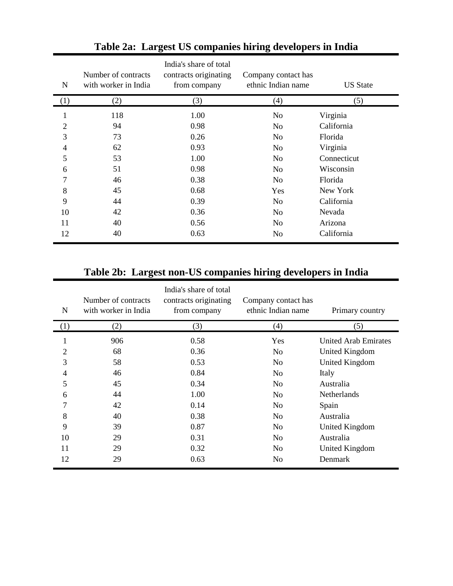| N              | Number of contracts<br>with worker in India | India's share of total<br>contracts originating<br>from company | Company contact has<br>ethnic Indian name | <b>US State</b> |
|----------------|---------------------------------------------|-----------------------------------------------------------------|-------------------------------------------|-----------------|
| (1)            | (2)                                         | (3)                                                             | (4)                                       | (5)             |
| 1              | 118                                         | 1.00                                                            | N <sub>0</sub>                            | Virginia        |
| $\overline{2}$ | 94                                          | 0.98                                                            | N <sub>0</sub>                            | California      |
| 3              | 73                                          | 0.26                                                            | N <sub>o</sub>                            | Florida         |
| 4              | 62                                          | 0.93                                                            | N <sub>o</sub>                            | Virginia        |
| 5              | 53                                          | 1.00                                                            | N <sub>o</sub>                            | Connecticut     |
| 6              | 51                                          | 0.98                                                            | N <sub>0</sub>                            | Wisconsin       |
| $\overline{7}$ | 46                                          | 0.38                                                            | N <sub>0</sub>                            | Florida         |
| 8              | 45                                          | 0.68                                                            | Yes                                       | New York        |
| 9              | 44                                          | 0.39                                                            | N <sub>o</sub>                            | California      |
| 10             | 42                                          | 0.36                                                            | N <sub>o</sub>                            | Nevada          |
| 11             | 40                                          | 0.56                                                            | N <sub>0</sub>                            | Arizona         |
| 12             | 40                                          | 0.63                                                            | No                                        | California      |

# **Table 2a: Largest US companies hiring developers in India**

# **Table 2b: Largest non-US companies hiring developers in India**

| N              | Number of contracts<br>with worker in India | India's share of total<br>contracts originating<br>from company | Company contact has<br>ethnic Indian name | Primary country      |
|----------------|---------------------------------------------|-----------------------------------------------------------------|-------------------------------------------|----------------------|
| (1)            | (2)                                         | (3)                                                             | (4)                                       | (5)                  |
| 1              | 906                                         | 0.58                                                            | Yes                                       | United Arab Emirates |
| $\overline{2}$ | 68                                          | 0.36                                                            | N <sub>0</sub>                            | United Kingdom       |
| 3              | 58                                          | 0.53                                                            | N <sub>0</sub>                            | United Kingdom       |
| 4              | 46                                          | 0.84                                                            | N <sub>0</sub>                            | Italy                |
| 5              | 45                                          | 0.34                                                            | N <sub>o</sub>                            | Australia            |
| 6              | 44                                          | 1.00                                                            | N <sub>0</sub>                            | <b>Netherlands</b>   |
| 7              | 42                                          | 0.14                                                            | N <sub>o</sub>                            | Spain                |
| 8              | 40                                          | 0.38                                                            | N <sub>0</sub>                            | Australia            |
| 9              | 39                                          | 0.87                                                            | N <sub>0</sub>                            | United Kingdom       |
| 10             | 29                                          | 0.31                                                            | N <sub>0</sub>                            | Australia            |
| 11             | 29                                          | 0.32                                                            | N <sub>0</sub>                            | United Kingdom       |
| 12             | 29                                          | 0.63                                                            | No                                        | Denmark              |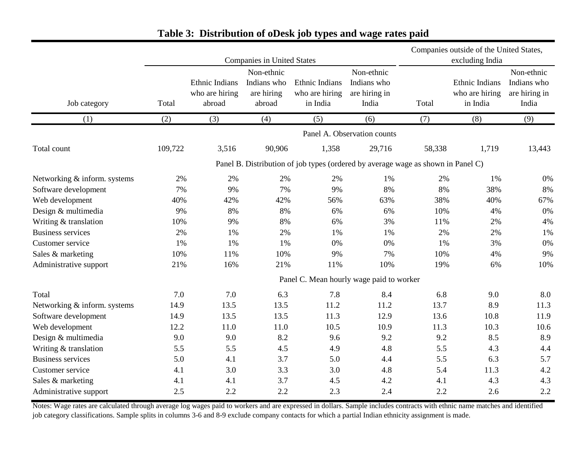|                              |         |                                            |                                                   |                                                                                  |                                                     | Companies outside of the United States, |                                              |                                                     |
|------------------------------|---------|--------------------------------------------|---------------------------------------------------|----------------------------------------------------------------------------------|-----------------------------------------------------|-----------------------------------------|----------------------------------------------|-----------------------------------------------------|
|                              |         |                                            | <b>Companies in United States</b>                 | excluding India                                                                  |                                                     |                                         |                                              |                                                     |
| Job category                 | Total   | Ethnic Indians<br>who are hiring<br>abroad | Non-ethnic<br>Indians who<br>are hiring<br>abroad | Ethnic Indians<br>who are hiring<br>in India                                     | Non-ethnic<br>Indians who<br>are hiring in<br>India | Total                                   | Ethnic Indians<br>who are hiring<br>in India | Non-ethnic<br>Indians who<br>are hiring in<br>India |
| (1)                          | (2)     | (3)                                        | (4)                                               | (5)                                                                              | (6)                                                 | (7)                                     | (8)                                          | (9)                                                 |
|                              |         |                                            |                                                   |                                                                                  | Panel A. Observation counts                         |                                         |                                              |                                                     |
| Total count                  | 109,722 | 3,516                                      | 90,906                                            | 1,358                                                                            | 29,716                                              | 58,338                                  | 1,719                                        | 13,443                                              |
|                              |         |                                            |                                                   | Panel B. Distribution of job types (ordered by average wage as shown in Panel C) |                                                     |                                         |                                              |                                                     |
| Networking & inform. systems | 2%      | 2%                                         | 2%                                                | 2%                                                                               | 1%                                                  | 2%                                      | 1%                                           | 0%                                                  |
| Software development         | 7%      | 9%                                         | 7%                                                | 9%                                                                               | 8%                                                  | 8%                                      | 38%                                          | 8%                                                  |
| Web development              | 40%     | 42%                                        | 42%                                               | 56%                                                                              | 63%                                                 | 38%                                     | 40%                                          | 67%                                                 |
| Design & multimedia          | 9%      | 8%                                         | 8%                                                | 6%                                                                               | 6%                                                  | 10%                                     | 4%                                           | 0%                                                  |
| Writing & translation        | 10%     | 9%                                         | 8%                                                | 6%                                                                               | 3%                                                  | 11%                                     | 2%                                           | 4%                                                  |
| <b>Business services</b>     | 2%      | 1%                                         | 2%                                                | 1%                                                                               | 1%                                                  | 2%                                      | 2%                                           | 1%                                                  |
| Customer service             | 1%      | 1%                                         | 1%                                                | 0%                                                                               | 0%                                                  | 1%                                      | 3%                                           | 0%                                                  |
| Sales & marketing            | 10%     | 11%                                        | 10%                                               | 9%                                                                               | 7%                                                  | 10%                                     | 4%                                           | 9%                                                  |
| Administrative support       | 21%     | 16%                                        | 21%                                               | 11%                                                                              | 10%                                                 | 19%                                     | 6%                                           | 10%                                                 |
|                              |         |                                            |                                                   | Panel C. Mean hourly wage paid to worker                                         |                                                     |                                         |                                              |                                                     |
| Total                        | 7.0     | 7.0                                        | 6.3                                               | 7.8                                                                              | 8.4                                                 | 6.8                                     | 9.0                                          | 8.0                                                 |
| Networking & inform. systems | 14.9    | 13.5                                       | 13.5                                              | 11.2                                                                             | 11.2                                                | 13.7                                    | 8.9                                          | 11.3                                                |
| Software development         | 14.9    | 13.5                                       | 13.5                                              | 11.3                                                                             | 12.9                                                | 13.6                                    | 10.8                                         | 11.9                                                |
| Web development              | 12.2    | 11.0                                       | 11.0                                              | 10.5                                                                             | 10.9                                                | 11.3                                    | 10.3                                         | 10.6                                                |
| Design & multimedia          | 9.0     | 9.0                                        | 8.2                                               | 9.6                                                                              | 9.2                                                 | 9.2                                     | 8.5                                          | 8.9                                                 |
| Writing & translation        | 5.5     | 5.5                                        | 4.5                                               | 4.9                                                                              | 4.8                                                 | 5.5                                     | 4.3                                          | 4.4                                                 |
| <b>Business services</b>     | 5.0     | 4.1                                        | 3.7                                               | 5.0                                                                              | 4.4                                                 | 5.5                                     | 6.3                                          | 5.7                                                 |
| Customer service             | 4.1     | 3.0                                        | 3.3                                               | 3.0                                                                              | 4.8                                                 | 5.4                                     | 11.3                                         | 4.2                                                 |
| Sales & marketing            | 4.1     | 4.1                                        | 3.7                                               | 4.5                                                                              | 4.2                                                 | 4.1                                     | 4.3                                          | 4.3                                                 |
| Administrative support       | 2.5     | 2.2                                        | 2.2                                               | 2.3                                                                              | 2.4                                                 | 2.2                                     | 2.6                                          | 2.2                                                 |

# **Table 3: Distribution of oDesk job types and wage rates paid**

Notes: Wage rates are calculated through average log wages paid to workers and are expressed in dollars. Sample includes contracts with ethnic name matches and identified job category classifications. Sample splits in columns 3-6 and 8-9 exclude company contacts for which a partial Indian ethnicity assignment is made.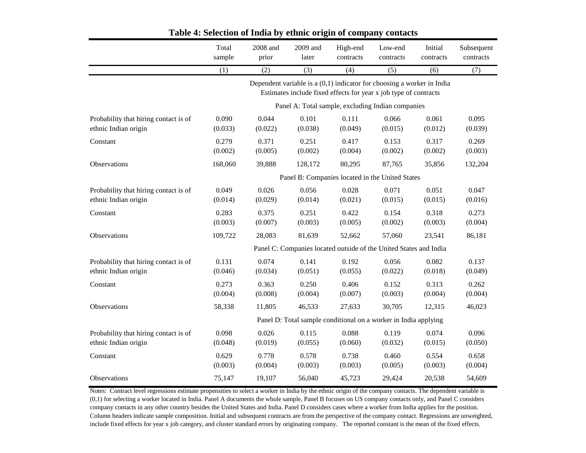|                                                               | Total<br>sample  | 2008 and<br>prior                                 | 2009 and<br>later | High-end<br>contracts                                                                                                                       | Low-end<br>contracts | Initial<br>contracts | Subsequent<br>contracts |  |  |  |
|---------------------------------------------------------------|------------------|---------------------------------------------------|-------------------|---------------------------------------------------------------------------------------------------------------------------------------------|----------------------|----------------------|-------------------------|--|--|--|
|                                                               | (1)              | (2)                                               | $\overline{(3)}$  | (4)                                                                                                                                         | (5)                  | (6)                  | (7)                     |  |  |  |
|                                                               |                  |                                                   |                   | Dependent variable is $a(0,1)$ indicator for choosing a worker in India<br>Estimates include fixed effects for year x job type of contracts |                      |                      |                         |  |  |  |
|                                                               |                  | Panel A: Total sample, excluding Indian companies |                   |                                                                                                                                             |                      |                      |                         |  |  |  |
| Probability that hiring contact is of<br>ethnic Indian origin | 0.090<br>(0.033) | 0.044<br>(0.022)                                  | 0.101<br>(0.038)  | 0.111<br>(0.049)                                                                                                                            | 0.066<br>(0.015)     | 0.061<br>(0.012)     | 0.095<br>(0.039)        |  |  |  |
| Constant                                                      | 0.279<br>(0.002) | 0.371<br>(0.005)                                  | 0.251<br>(0.002)  | 0.417<br>(0.004)                                                                                                                            | 0.153<br>(0.002)     | 0.317<br>(0.002)     | 0.269<br>(0.003)        |  |  |  |
| Observations                                                  | 168,060          | 39,888                                            | 128,172           | 80,295                                                                                                                                      | 87,765               | 35,856               | 132,204                 |  |  |  |
|                                                               |                  |                                                   |                   | Panel B: Companies located in the United States                                                                                             |                      |                      |                         |  |  |  |
| Probability that hiring contact is of<br>ethnic Indian origin | 0.049<br>(0.014) | 0.026<br>(0.029)                                  | 0.056<br>(0.014)  | 0.028<br>(0.021)                                                                                                                            | 0.071<br>(0.015)     | 0.051<br>(0.015)     | 0.047<br>(0.016)        |  |  |  |
| Constant                                                      | 0.283<br>(0.003) | 0.375<br>(0.007)                                  | 0.251<br>(0.003)  | 0.422<br>(0.005)                                                                                                                            | 0.154<br>(0.002)     | 0.318<br>(0.003)     | 0.273<br>(0.004)        |  |  |  |
| Observations                                                  | 109,722          | 28,083                                            | 81,639            | 52,662                                                                                                                                      | 57,060               | 23,541               | 86,181                  |  |  |  |
|                                                               |                  |                                                   |                   | Panel C: Companies located outside of the United States and India                                                                           |                      |                      |                         |  |  |  |
| Probability that hiring contact is of<br>ethnic Indian origin | 0.131<br>(0.046) | 0.074<br>(0.034)                                  | 0.141<br>(0.051)  | 0.192<br>(0.055)                                                                                                                            | 0.056<br>(0.022)     | 0.082<br>(0.018)     | 0.137<br>(0.049)        |  |  |  |
| Constant                                                      | 0.273<br>(0.004) | 0.363<br>(0.008)                                  | 0.250<br>(0.004)  | 0.406<br>(0.007)                                                                                                                            | 0.152<br>(0.003)     | 0.313<br>(0.004)     | 0.262<br>(0.004)        |  |  |  |
| Observations                                                  | 58,338           | 11,805                                            | 46,533            | 27,633                                                                                                                                      | 30,705               | 12,315               | 46,023                  |  |  |  |
|                                                               |                  |                                                   |                   | Panel D: Total sample conditional on a worker in India applying                                                                             |                      |                      |                         |  |  |  |
| Probability that hiring contact is of<br>ethnic Indian origin | 0.098<br>(0.048) | 0.026<br>(0.019)                                  | 0.115<br>(0.055)  | 0.088<br>(0.060)                                                                                                                            | 0.119<br>(0.032)     | 0.074<br>(0.015)     | 0.096<br>(0.050)        |  |  |  |
| Constant                                                      | 0.629<br>(0.003) | 0.778<br>(0.004)                                  | 0.578<br>(0.003)  | 0.738<br>(0.003)                                                                                                                            | 0.460<br>(0.005)     | 0.554<br>(0.003)     | 0.658<br>(0.004)        |  |  |  |
| Observations                                                  | 75,147           | 19,107                                            | 56,040            | 45,723                                                                                                                                      | 29,424               | 20,538               | 54,609                  |  |  |  |

## **Table 4: Selection of India by ethnic origin of company contacts**

Notes: Contract level regressions estimate propensities to select a worker in India by the ethnic origin of the company contacts. The dependent variable is (0,1) for selecting a worker located in India. Panel A documents the whole sample, Panel B focuses on US company contacts only, and Panel C considers company contacts in any other country besides the United States and India. Panel D considers cases where a worker from India applies for the position. Column headers indicate sample composition. Initial and subsequent contracts are from the perspective of the company contact. Regressions are unweighted, include fixed effects for year x job category, and cluster standard errors by originating company. The reported constant is the mean of the fixed effects.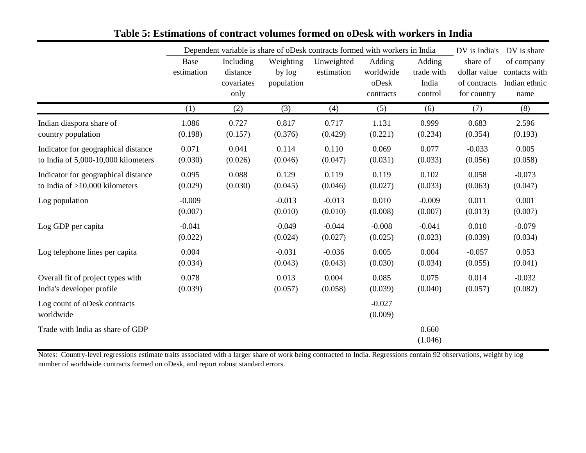|                                     | Dependent variable is share of oDesk contracts formed with workers in India |            |            |            |           |            | DV is India's | DV is share   |
|-------------------------------------|-----------------------------------------------------------------------------|------------|------------|------------|-----------|------------|---------------|---------------|
|                                     | Base                                                                        | Including  | Weighting  | Unweighted | Adding    | Adding     | share of      | of company    |
|                                     | estimation                                                                  | distance   | by log     | estimation | worldwide | trade with | dollar value  | contacts with |
|                                     |                                                                             | covariates | population |            | oDesk     | India      | of contracts  | Indian ethnic |
|                                     |                                                                             | only       |            |            | contracts | control    | for country   | name          |
|                                     | (1)                                                                         | (2)        | (3)        | (4)        | (5)       | (6)        | (7)           | (8)           |
| Indian diaspora share of            | 1.086                                                                       | 0.727      | 0.817      | 0.717      | 1.131     | 0.999      | 0.683         | 2.596         |
| country population                  | (0.198)                                                                     | (0.157)    | (0.376)    | (0.429)    | (0.221)   | (0.234)    | (0.354)       | (0.193)       |
| Indicator for geographical distance | 0.071                                                                       | 0.041      | 0.114      | 0.110      | 0.069     | 0.077      | $-0.033$      | 0.005         |
| to India of 5,000-10,000 kilometers | (0.030)                                                                     | (0.026)    | (0.046)    | (0.047)    | (0.031)   | (0.033)    | (0.056)       | (0.058)       |
| Indicator for geographical distance | 0.095                                                                       | 0.088      | 0.129      | 0.119      | 0.119     | 0.102      | 0.058         | $-0.073$      |
| to India of $>10,000$ kilometers    | (0.029)                                                                     | (0.030)    | (0.045)    | (0.046)    | (0.027)   | (0.033)    | (0.063)       | (0.047)       |
| Log population                      | $-0.009$                                                                    |            | $-0.013$   | $-0.013$   | 0.010     | $-0.009$   | 0.011         | 0.001         |
|                                     | (0.007)                                                                     |            | (0.010)    | (0.010)    | (0.008)   | (0.007)    | (0.013)       | (0.007)       |
| Log GDP per capita                  | $-0.041$                                                                    |            | $-0.049$   | $-0.044$   | $-0.008$  | $-0.041$   | 0.010         | $-0.079$      |
|                                     | (0.022)                                                                     |            | (0.024)    | (0.027)    | (0.025)   | (0.023)    | (0.039)       | (0.034)       |
| Log telephone lines per capita      | 0.004                                                                       |            | $-0.031$   | $-0.036$   | 0.005     | 0.004      | $-0.057$      | 0.053         |
|                                     | (0.034)                                                                     |            | (0.043)    | (0.043)    | (0.030)   | (0.034)    | (0.055)       | (0.041)       |
| Overall fit of project types with   | 0.078                                                                       |            | 0.013      | 0.004      | 0.085     | 0.075      | 0.014         | $-0.032$      |
| India's developer profile           | (0.039)                                                                     |            | (0.057)    | (0.058)    | (0.039)   | (0.040)    | (0.057)       | (0.082)       |
| Log count of oDesk contracts        |                                                                             |            |            |            | $-0.027$  |            |               |               |
| worldwide                           |                                                                             |            |            |            | (0.009)   |            |               |               |
| Trade with India as share of GDP    |                                                                             |            |            |            |           | 0.660      |               |               |
|                                     |                                                                             |            |            |            |           | (1.046)    |               |               |

# **Table 5: Estimations of contract volumes formed on oDesk with workers in India**

Notes: Country-level regressions estimate traits associated with a larger share of work being contracted to India. Regressions contain 92 observations, weight by log number of worldwide contracts formed on oDesk, and report robust standard errors.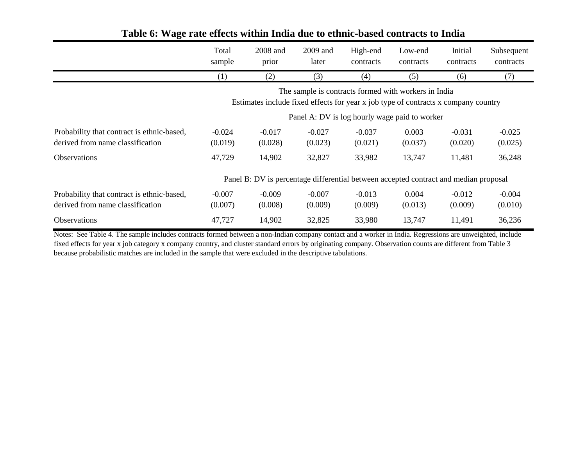|                                                                                | Total<br>sample                                                                                                                                                                             | 2008 and<br>prior   | 2009 and<br>later   | High-end<br>contracts | Low-end<br>contracts | Initial<br>contracts | Subsequent<br>contracts |  |  |
|--------------------------------------------------------------------------------|---------------------------------------------------------------------------------------------------------------------------------------------------------------------------------------------|---------------------|---------------------|-----------------------|----------------------|----------------------|-------------------------|--|--|
|                                                                                | (1)                                                                                                                                                                                         | (2)                 | (3)                 | (4)                   | (5)                  | (6)                  | (7)                     |  |  |
|                                                                                | The sample is contracts formed with workers in India<br>Estimates include fixed effects for year x job type of contracts x company country<br>Panel A: DV is log hourly wage paid to worker |                     |                     |                       |                      |                      |                         |  |  |
| Probability that contract is ethnic-based,<br>derived from name classification | $-0.024$<br>(0.019)                                                                                                                                                                         | $-0.017$<br>(0.028) | $-0.027$<br>(0.023) | $-0.037$<br>(0.021)   | 0.003<br>(0.037)     | $-0.031$<br>(0.020)  | $-0.025$<br>(0.025)     |  |  |
| <b>Observations</b>                                                            | 47,729                                                                                                                                                                                      | 14,902              | 32,827              | 33,982                | 13,747               | 11,481               | 36,248                  |  |  |
|                                                                                | Panel B: DV is percentage differential between accepted contract and median proposal                                                                                                        |                     |                     |                       |                      |                      |                         |  |  |
| Probability that contract is ethnic-based,<br>derived from name classification | $-0.007$<br>(0.007)                                                                                                                                                                         | $-0.009$<br>(0.008) | $-0.007$<br>(0.009) | $-0.013$<br>(0.009)   | 0.004<br>(0.013)     | $-0.012$<br>(0.009)  | $-0.004$<br>(0.010)     |  |  |
| <b>Observations</b>                                                            | 47,727                                                                                                                                                                                      | 14,902              | 32,825              | 33,980                | 13,747               | 11,491               | 36,236                  |  |  |

# **Table 6: Wage rate effects within India due to ethnic-based contracts to India**

Notes: See Table 4. The sample includes contracts formed between a non-Indian company contact and a worker in India. Regressions are unweighted, include fixed effects for year x job category x company country, and cluster standard errors by originating company. Observation counts are different from Table 3 because probabilistic matches are included in the sample that were excluded in the descriptive tabulations.